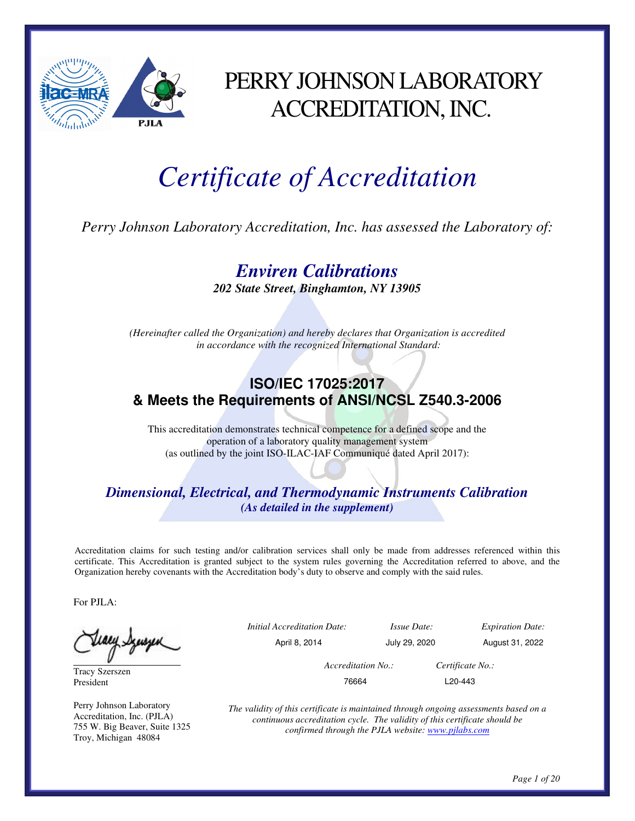

# PERRY JOHNSON LABORATORY ACCREDITATION, INC.

# *Certificate of Accreditation*

*Perry Johnson Laboratory Accreditation, Inc. has assessed the Laboratory of:* 

*Enviren Calibrations* 

*202 State Street, Binghamton, NY 13905* 

*(Hereinafter called the Organization) and hereby declares that Organization is accredited in accordance with the recognized International Standard:* 

## **ISO/IEC 17025:2017 & Meets the Requirements of ANSI/NCSL Z540.3-2006**

This accreditation demonstrates technical competence for a defined scope and the operation of a laboratory quality management system (as outlined by the joint ISO-ILAC-IAF Communiqué dated April 2017):

*Dimensional, Electrical, and Thermodynamic Instruments Calibration (As detailed in the supplement)* 

Accreditation claims for such testing and/or calibration services shall only be made from addresses referenced within this certificate. This Accreditation is granted subject to the system rules governing the Accreditation referred to above, and the Organization hereby covenants with the Accreditation body's duty to observe and comply with the said rules.

For PJLA:

Tracy Szerszen President

Perry Johnson Laboratory Accreditation, Inc. (PJLA) 755 W. Big Beaver, Suite 1325 Troy, Michigan 48084

 *Initial Accreditation Date: Issue Date: Expiration Date:*  April 8, 2014 July 29, 2020 August 31, 2022 *Accreditation No.: Certificate No.:*  76664 L20-443

*The validity of this certificate is maintained through ongoing assessments based on a continuous accreditation cycle. The validity of this certificate should be confirmed through the PJLA website: www.pjlabs.com*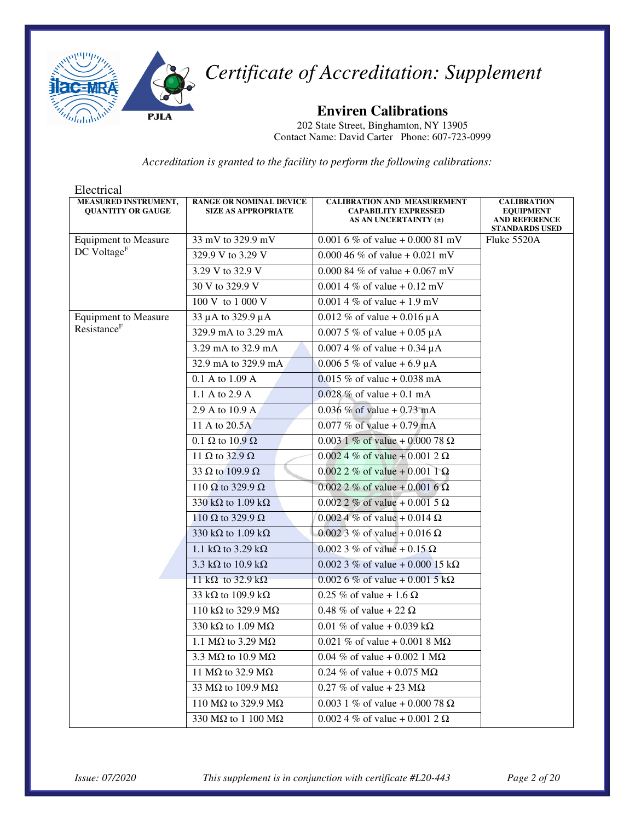

**Enviren Calibrations** 

202 State Street, Binghamton, NY 13905 Contact Name: David Carter Phone: 607-723-0999

| Electrical                                       |                                                              |                                                                                            |                                                                                         |
|--------------------------------------------------|--------------------------------------------------------------|--------------------------------------------------------------------------------------------|-----------------------------------------------------------------------------------------|
| MEASURED INSTRUMENT,<br><b>QUANTITY OR GAUGE</b> | <b>RANGE OR NOMINAL DEVICE</b><br><b>SIZE AS APPROPRIATE</b> | <b>CALIBRATION AND MEASUREMENT</b><br><b>CAPABILITY EXPRESSED</b><br>AS AN UNCERTAINTY (±) | <b>CALIBRATION</b><br><b>EQUIPMENT</b><br><b>AND REFERENCE</b><br><b>STANDARDS USED</b> |
| <b>Equipment to Measure</b>                      | 33 mV to 329.9 mV                                            | 0.001 6 % of value + 0.000 81 mV                                                           | Fluke 5520A                                                                             |
| DC Voltage <sup>F</sup>                          | 329.9 V to 3.29 V                                            | 0.000 46 % of value + 0.021 mV                                                             |                                                                                         |
|                                                  | 3.29 V to 32.9 V                                             | 0.000 84 % of value + 0.067 mV                                                             |                                                                                         |
|                                                  | 30 V to 329.9 V                                              | 0.001 4 % of value + 0.12 mV                                                               |                                                                                         |
|                                                  | 100 V to 1 000 V                                             | $0.0014\%$ of value + 1.9 mV                                                               |                                                                                         |
| <b>Equipment to Measure</b>                      | 33 µ A to 329.9 µ A                                          | 0.012 % of value + 0.016 $\mu$ A                                                           |                                                                                         |
| Resistance <sup>F</sup>                          | 329.9 mA to 3.29 mA                                          | 0.007 5 % of value + 0.05 $\mu$ A                                                          |                                                                                         |
|                                                  | 3.29 mA to 32.9 mA                                           | $0.0074\%$ of value + 0.34 µA                                                              |                                                                                         |
|                                                  | 32.9 mA to 329.9 mA                                          | 0.006 5 % of value + 6.9 $\mu$ A                                                           |                                                                                         |
|                                                  | 0.1 A to 1.09 A                                              | $0.015\%$ of value + 0.038 mA                                                              |                                                                                         |
|                                                  | 1.1 A to 2.9 A                                               | $0.028 \%$ of value + 0.1 mA                                                               |                                                                                         |
|                                                  | 2.9 A to 10.9 A                                              | 0.036 % of value + 0.73 mA                                                                 |                                                                                         |
|                                                  | 11 A to 20.5A                                                | 0.077 % of value + 0.79 mA                                                                 |                                                                                         |
|                                                  | 0.1 $\Omega$ to 10.9 $\Omega$                                | $0.003$ 1 % of value + 0.000 78 $\Omega$                                                   |                                                                                         |
|                                                  | 11 $\Omega$ to 32.9 $\Omega$                                 | $0.0024\%$ of value + 0.001 2 $\Omega$                                                     |                                                                                         |
|                                                  | $\overline{33}$ $\Omega$ to 109.9 $\Omega$                   | $0.0022\%$ of value + 0.001 1 $\Omega$                                                     |                                                                                         |
|                                                  | 110 $\Omega$ to 329.9 $\Omega$                               | $0.0022\%$ of value + 0.001 6 $\Omega$                                                     |                                                                                         |
|                                                  | 330 k $\Omega$ to 1.09 k $\Omega$                            | $0.0022\%$ of value + 0.001 5 $\Omega$                                                     |                                                                                         |
|                                                  | 110 $\Omega$ to 329.9 $\Omega$                               | $0.0024\%$ of value + 0.014 $\Omega$                                                       |                                                                                         |
|                                                  | 330 k $\Omega$ to 1.09 k $\Omega$                            | 0.002 3 % of value + 0.016 Ω                                                               |                                                                                         |
|                                                  | 1.1 k $\Omega$ to 3.29 k $\Omega$                            | 0.002 3 % of value + 0.15 $\Omega$                                                         |                                                                                         |
|                                                  | $\overline{3.3}$ kΩ to 10.9 kΩ                               | 0.002 3 % of value + 0.000 15 kΩ                                                           |                                                                                         |
|                                                  | 11 k $\Omega$ to 32.9 k $\Omega$                             | $0.0026\%$ of value + 0.001 5 kΩ                                                           |                                                                                         |
|                                                  | 33 k $\Omega$ to 109.9 k $\Omega$                            | 0.25 % of value + 1.6 $\Omega$                                                             |                                                                                         |
|                                                  | 110 k $\Omega$ to 329.9 M $\Omega$                           | 0.48 % of value + 22 $\Omega$                                                              |                                                                                         |
|                                                  | 330 k $\Omega$ to 1.09 M $\Omega$                            | 0.01 % of value + 0.039 k $\Omega$                                                         |                                                                                         |
|                                                  | 1.1 M $\Omega$ to 3.29 M $\Omega$                            | 0.021 % of value + 0.001 8 $M\Omega$                                                       |                                                                                         |
|                                                  | 3.3 M $\Omega$ to 10.9 M $\Omega$                            | $0.04 \%$ of value + 0.002 1 M $\Omega$                                                    |                                                                                         |
|                                                  | 11 M $\Omega$ to 32.9 M $\Omega$                             | 0.24 % of value + 0.075 M $\Omega$                                                         |                                                                                         |
|                                                  | 33 M $\Omega$ to 109.9 M $\Omega$                            | $0.27\%$ of value + 23 M $\Omega$                                                          |                                                                                         |
|                                                  | 110 M $\Omega$ to 329.9 M $\Omega$                           | 0.003 1 % of value + 0.000 78 $\Omega$                                                     |                                                                                         |
|                                                  | 330 M $\Omega$ to 1 100 M $\Omega$                           | $0.0024\%$ of value + 0.001 2 $\Omega$                                                     |                                                                                         |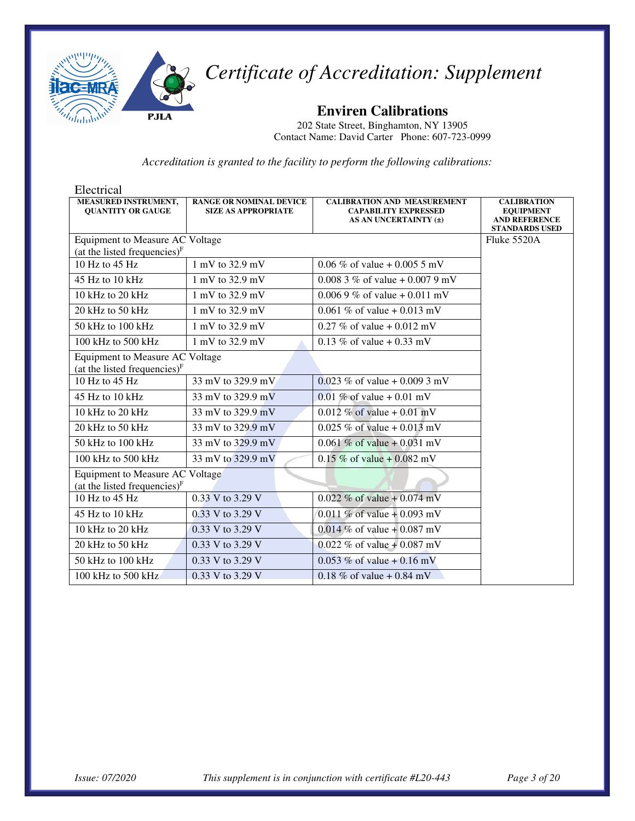

**Enviren Calibrations** 

202 State Street, Binghamton, NY 13905 Contact Name: David Carter Phone: 607-723-0999

| Electrical                                                         |                                                              |                                                                                            |                                                                                         |
|--------------------------------------------------------------------|--------------------------------------------------------------|--------------------------------------------------------------------------------------------|-----------------------------------------------------------------------------------------|
| <b>MEASURED INSTRUMENT,</b><br><b>OUANTITY OR GAUGE</b>            | <b>RANGE OR NOMINAL DEVICE</b><br><b>SIZE AS APPROPRIATE</b> | <b>CALIBRATION AND MEASUREMENT</b><br><b>CAPABILITY EXPRESSED</b><br>AS AN UNCERTAINTY (±) | <b>CALIBRATION</b><br><b>EQUIPMENT</b><br><b>AND REFERENCE</b><br><b>STANDARDS USED</b> |
| Equipment to Measure AC Voltage<br>(at the listed frequencies) $F$ |                                                              |                                                                                            | Fluke 5520A                                                                             |
| $10$ Hz to $45$ Hz                                                 | 1 mV to 32.9 mV                                              | 0.06 % of value + 0.005 5 mV                                                               |                                                                                         |
|                                                                    |                                                              |                                                                                            |                                                                                         |
| $45$ Hz to $10$ kHz                                                | 1 mV to 32.9 mV                                              | $0.0083\%$ of value + 0.007 9 mV                                                           |                                                                                         |
| 10 kHz to 20 kHz                                                   | 1 mV to 32.9 mV                                              | 0.006 9 % of value + 0.011 mV                                                              |                                                                                         |
| 20 kHz to 50 kHz                                                   | 1 mV to 32.9 mV                                              | 0.061 % of value + 0.013 mV                                                                |                                                                                         |
| 50 kHz to 100 kHz                                                  | $1 \text{ mV}$ to 32.9 mV                                    | 0.27 % of value + 0.012 mV                                                                 |                                                                                         |
| $100$ kHz to $500$ kHz                                             | $1 \text{ mV}$ to 32.9 mV                                    | 0.13 % of value + 0.33 mV                                                                  |                                                                                         |
| Equipment to Measure AC Voltage<br>(at the listed frequencies) $F$ |                                                              |                                                                                            |                                                                                         |
| 10 Hz to $45$ Hz                                                   | 33 mV to 329.9 mV                                            | 0.023 % of value + 0.009 3 mV                                                              |                                                                                         |
| 45 Hz to 10 kHz                                                    | 33 mV to 329.9 mV                                            | 0.01 % of value + 0.01 mV                                                                  |                                                                                         |
| $10$ kHz to $20$ kHz                                               | 33 mV to 329.9 mV                                            | 0.012 % of value + 0.01 mV                                                                 |                                                                                         |
| 20 kHz to 50 kHz                                                   | 33 mV to 329.9 mV                                            | $0.025\%$ of value + 0.013 mV                                                              |                                                                                         |
| $50$ kHz to $100$ kHz                                              | 33 mV to 329.9 mV                                            | 0.061 % of value $+$ 0.031 mV                                                              |                                                                                         |
| 100 kHz to 500 kHz                                                 | 33 mV to 329.9 mV                                            | $0.15\%$ of value + 0.082 mV                                                               |                                                                                         |
| Equipment to Measure AC Voltage<br>(at the listed frequencies) $F$ |                                                              |                                                                                            |                                                                                         |
| $10$ Hz to $45$ Hz                                                 | 0.33 V to 3.29 V                                             | 0.022 % of value + 0.074 mV                                                                |                                                                                         |
| $45$ Hz to $10$ kHz                                                | $0.33$ V to 3.29 V                                           | 0.011 % of value + 0.093 mV                                                                |                                                                                         |
| 10 kHz to 20 kHz                                                   | 0.33 V to 3.29 V                                             | $0.014\%$ of value + 0.087 mV                                                              |                                                                                         |
| 20 kHz to 50 kHz                                                   | 0.33 V to 3.29 V                                             | 0.022 % of value + 0.087 mV                                                                |                                                                                         |
| 50 kHz to 100 kHz                                                  | 0.33 V to 3.29 V                                             | 0.053 % of value + 0.16 mV                                                                 |                                                                                         |
| 100 kHz to 500 kHz                                                 | 0.33 V to 3.29 V                                             | 0.18 % of value + 0.84 mV                                                                  |                                                                                         |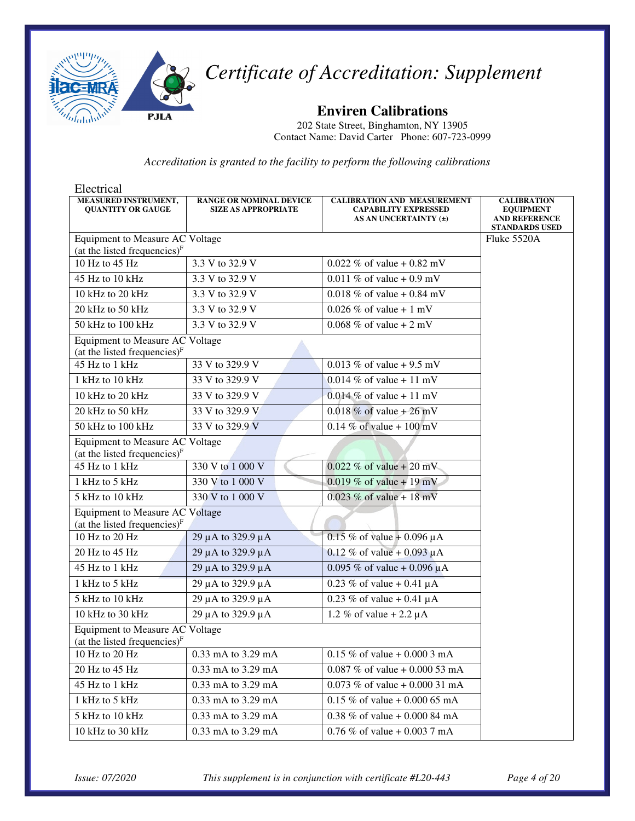

**Enviren Calibrations** 

202 State Street, Binghamton, NY 13905 Contact Name: David Carter Phone: 607-723-0999

| Electrical                                                                |                                                              |                                                                                            |                                                                                         |
|---------------------------------------------------------------------------|--------------------------------------------------------------|--------------------------------------------------------------------------------------------|-----------------------------------------------------------------------------------------|
| MEASURED INSTRUMENT,<br><b>QUANTITY OR GAUGE</b>                          | <b>RANGE OR NOMINAL DEVICE</b><br><b>SIZE AS APPROPRIATE</b> | <b>CALIBRATION AND MEASUREMENT</b><br><b>CAPABILITY EXPRESSED</b><br>AS AN UNCERTAINTY (±) | <b>CALIBRATION</b><br><b>EQUIPMENT</b><br><b>AND REFERENCE</b><br><b>STANDARDS USED</b> |
| Equipment to Measure AC Voltage                                           |                                                              |                                                                                            | Fluke 5520A                                                                             |
| (at the listed frequencies) $F$                                           |                                                              |                                                                                            |                                                                                         |
| 10 Hz to 45 Hz                                                            | 3.3 V to 32.9 V                                              | 0.022 % of value + 0.82 mV                                                                 |                                                                                         |
| 45 Hz to 10 kHz                                                           | 3.3 V to 32.9 V                                              | 0.011 % of value + 0.9 mV                                                                  |                                                                                         |
| 10 kHz to 20 kHz                                                          | 3.3 V to 32.9 V                                              | 0.018 % of value + 0.84 mV                                                                 |                                                                                         |
| 20 kHz to 50 kHz                                                          | 3.3 V to 32.9 V                                              | 0.026 % of value + 1 mV                                                                    |                                                                                         |
| 50 kHz to 100 kHz                                                         | 3.3 V to 32.9 V                                              | 0.068 % of value + 2 mV                                                                    |                                                                                         |
| Equipment to Measure AC Voltage<br>(at the listed frequencies) $F$        |                                                              |                                                                                            |                                                                                         |
| 45 Hz to 1 kHz                                                            | 33 V to 329.9 V                                              | 0.013 % of value + 9.5 mV                                                                  |                                                                                         |
| 1 kHz to 10 kHz                                                           | 33 V to 329.9 V                                              | 0.014 % of value + 11 mV                                                                   |                                                                                         |
| 10 kHz to 20 kHz                                                          | 33 V to 329.9 V                                              | $0.014\%$ of value + 11 mV                                                                 |                                                                                         |
| 20 kHz to 50 kHz                                                          | 33 V to 329.9 V                                              | 0.018 % of value + 26 mV                                                                   |                                                                                         |
| 50 kHz to 100 kHz                                                         | 33 V to 329.9 V                                              | 0.14 % of value + 100 mV                                                                   |                                                                                         |
| Equipment to Measure AC Voltage<br>(at the listed frequencies) $F$        |                                                              |                                                                                            |                                                                                         |
| 45 Hz to 1 kHz                                                            | 330 V to 1 000 V                                             | 0.022 % of value + 20 mV                                                                   |                                                                                         |
| 1 kHz to 5 kHz                                                            | 330 V to 1 000 V                                             | 0.019 % of value + 19 mV                                                                   |                                                                                         |
| 5 kHz to 10 kHz                                                           | 330 V to 1 000 V                                             | 0.023 % of value + 18 mV                                                                   |                                                                                         |
| <b>Equipment to Measure AC Voltage</b><br>(at the listed frequencies) $F$ |                                                              |                                                                                            |                                                                                         |
| 10 Hz to 20 Hz                                                            | 29 µA to 329.9 µA                                            | 0.15 % of value + 0.096 $\mu$ A                                                            |                                                                                         |
| 20 Hz to 45 Hz                                                            | 29 µA to 329.9 µA                                            | 0.12 % of value + 0.093 $\mu$ A                                                            |                                                                                         |
| 45 Hz to 1 kHz                                                            | 29 µA to 329.9 µA                                            | 0.095 % of value + 0.096 $\mu$ A                                                           |                                                                                         |
| 1 kHz to 5 kHz                                                            | 29 µ A to 329.9 µ A                                          | 0.23 % of value + 0.41 $\mu$ A                                                             |                                                                                         |
| 5 kHz to 10 kHz                                                           | 29 µ A to 329.9 µ A                                          | 0.23 % of value + 0.41 $\mu$ A                                                             |                                                                                         |
| 10 kHz to 30 kHz                                                          | 29 µ A to 329.9 µ A                                          | 1.2 % of value $+ 2.2 \mu A$                                                               |                                                                                         |
| Equipment to Measure AC Voltage<br>(at the listed frequencies) $F$        |                                                              |                                                                                            |                                                                                         |
| 10 Hz to 20 Hz                                                            | 0.33 mA to 3.29 mA                                           | $0.15\%$ of value + 0.000 3 mA                                                             |                                                                                         |
| 20 Hz to 45 Hz                                                            | $0.33 \text{ mA}$ to $3.29 \text{ mA}$                       | $0.087\%$ of value + 0.000 53 mA                                                           |                                                                                         |
| 45 Hz to 1 kHz                                                            | 0.33 mA to 3.29 mA                                           | 0.073 % of value + 0.000 31 mA                                                             |                                                                                         |
| 1 kHz to 5 kHz                                                            | 0.33 mA to 3.29 mA                                           | 0.15 % of value + 0.000 65 mA                                                              |                                                                                         |
| 5 kHz to 10 kHz                                                           | 0.33 mA to 3.29 mA                                           | 0.38 % of value + 0.000 84 mA                                                              |                                                                                         |
| 10 kHz to 30 kHz                                                          | 0.33 mA to 3.29 mA                                           | 0.76 % of value + 0.003 7 mA                                                               |                                                                                         |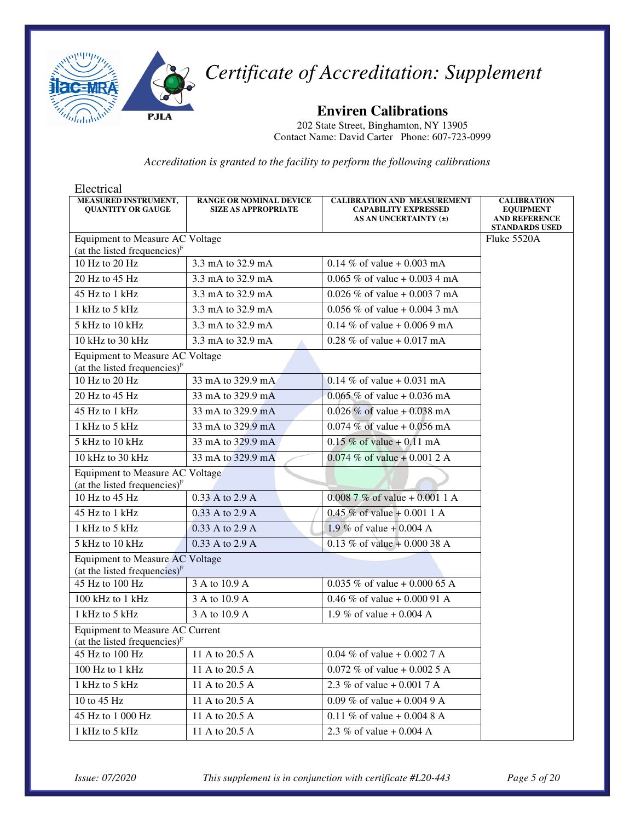

**Enviren Calibrations** 

202 State Street, Binghamton, NY 13905 Contact Name: David Carter Phone: 607-723-0999

*Accreditation is granted to the facility to perform the following calibrations* 

| Electrical                                                                |                                                              |                                                                                            |                                                                                         |
|---------------------------------------------------------------------------|--------------------------------------------------------------|--------------------------------------------------------------------------------------------|-----------------------------------------------------------------------------------------|
| MEASURED INSTRUMENT,<br><b>QUANTITY OR GAUGE</b>                          | <b>RANGE OR NOMINAL DEVICE</b><br><b>SIZE AS APPROPRIATE</b> | <b>CALIBRATION AND MEASUREMENT</b><br><b>CAPABILITY EXPRESSED</b><br>AS AN UNCERTAINTY (±) | <b>CALIBRATION</b><br><b>EQUIPMENT</b><br><b>AND REFERENCE</b><br><b>STANDARDS USED</b> |
| Equipment to Measure AC Voltage                                           |                                                              |                                                                                            | Fluke 5520A                                                                             |
| (at the listed frequencies) $F$                                           |                                                              |                                                                                            |                                                                                         |
| 10 Hz to 20 Hz                                                            | 3.3 mA to 32.9 mA                                            | 0.14 % of value + 0.003 mA                                                                 |                                                                                         |
| 20 Hz to 45 Hz                                                            | 3.3 mA to 32.9 mA                                            | 0.065 % of value + 0.003 4 mA                                                              |                                                                                         |
| 45 Hz to 1 kHz                                                            | 3.3 mA to 32.9 mA                                            | 0.026 % of value + 0.003 7 mA                                                              |                                                                                         |
| 1 kHz to 5 kHz                                                            | 3.3 mA to 32.9 mA                                            | 0.056 % of value + 0.004 3 mA                                                              |                                                                                         |
| 5 kHz to 10 kHz                                                           | 3.3 mA to 32.9 mA                                            | 0.14 % of value + 0.006 9 mA                                                               |                                                                                         |
| 10 kHz to 30 kHz                                                          | 3.3 mA to 32.9 mA                                            | 0.28 % of value + 0.017 mA                                                                 |                                                                                         |
| Equipment to Measure AC Voltage<br>(at the listed frequencies) $F$        |                                                              |                                                                                            |                                                                                         |
| $\overline{10}$ Hz to 20 Hz                                               | 33 mA to 329.9 mA                                            | 0.14 % of value + 0.031 mA                                                                 |                                                                                         |
| 20 Hz to 45 Hz                                                            | 33 mA to 329.9 mA                                            | $0.065\%$ of value + 0.036 mA                                                              |                                                                                         |
| 45 Hz to 1 kHz                                                            | 33 mA to 329.9 mA                                            | $0.026\%$ of value + 0.038 mA                                                              |                                                                                         |
| $1$ kHz to 5 kHz                                                          | 33 mA to 329.9 mA                                            | 0.074 % of value + 0.056 mA                                                                |                                                                                         |
| 5 kHz to 10 kHz                                                           | 33 mA to 329.9 mA                                            | $0.15 \%$ of value + 0.11 mA                                                               |                                                                                         |
| 10 kHz to 30 kHz                                                          | 33 mA to 329.9 mA                                            | 0.074 % of value + 0.001 2 A                                                               |                                                                                         |
| Equipment to Measure AC Voltage<br>(at the listed frequencies) $F$        |                                                              |                                                                                            |                                                                                         |
| 10 Hz to 45 Hz                                                            | 0.33 A to 2.9 A                                              | $0.0087\%$ of value + 0.001 1 A                                                            |                                                                                         |
| 45 Hz to 1 kHz                                                            | 0.33 A to 2.9 A                                              | $0.45\%$ of value + 0.001 1 A                                                              |                                                                                         |
| 1 kHz to 5 kHz                                                            | 0.33 A to 2.9 A                                              | 1.9 % of value + 0.004 A                                                                   |                                                                                         |
| 5 kHz to 10 kHz                                                           | 0.33 A to 2.9 A                                              | 0.13 % of value + 0.000 38 A                                                               |                                                                                         |
| <b>Equipment to Measure AC Voltage</b><br>(at the listed frequencies) $F$ |                                                              |                                                                                            |                                                                                         |
| 45 Hz to 100 Hz                                                           | 3 A to 10.9 A                                                | 0.035 % of value + 0.000 65 A                                                              |                                                                                         |
| 100 kHz to 1 kHz                                                          | 3 A to 10.9 A                                                | 0.46 % of value + 0.000 91 A                                                               |                                                                                         |
| 1 kHz to 5 kHz                                                            | 3 A to 10.9 A                                                | 1.9 % of value + 0.004 A                                                                   |                                                                                         |
| Equipment to Measure AC Current<br>(at the listed frequencies) $F$        |                                                              |                                                                                            |                                                                                         |
| 45 Hz to 100 Hz                                                           | 11 A to 20.5 A                                               | 0.04 % of value + 0.002 7 A                                                                |                                                                                         |
| 100 Hz to 1 kHz                                                           | 11 A to 20.5 A                                               | 0.072 % of value + 0.002 5 A                                                               |                                                                                         |
| 1 kHz to 5 kHz                                                            | 11 A to 20.5 A                                               | 2.3 % of value + 0.001 7 A                                                                 |                                                                                         |
| 10 to 45 Hz                                                               | 11 A to 20.5 A                                               | 0.09 % of value + 0.004 9 A                                                                |                                                                                         |
| 45 Hz to 1 000 Hz                                                         | 11 A to 20.5 A                                               | 0.11 % of value + 0.004 8 A                                                                |                                                                                         |
| 1 kHz to 5 kHz                                                            | 11 A to 20.5 A                                               | 2.3 % of value + 0.004 A                                                                   |                                                                                         |

*Issue: 07/2020 This supplement is in conjunction with certificate #L20-443 Page 5 of 20*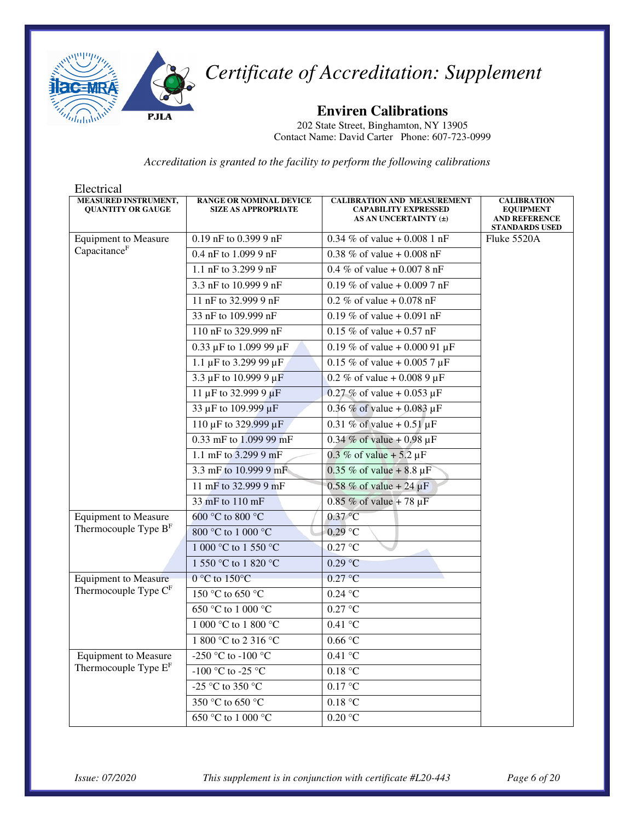

**Enviren Calibrations** 

202 State Street, Binghamton, NY 13905 Contact Name: David Carter Phone: 607-723-0999

| Electrical                                       |                                                              |                                                                                            |                                                                                         |
|--------------------------------------------------|--------------------------------------------------------------|--------------------------------------------------------------------------------------------|-----------------------------------------------------------------------------------------|
| MEASURED INSTRUMENT,<br><b>QUANTITY OR GAUGE</b> | <b>RANGE OR NOMINAL DEVICE</b><br><b>SIZE AS APPROPRIATE</b> | <b>CALIBRATION AND MEASUREMENT</b><br><b>CAPABILITY EXPRESSED</b><br>AS AN UNCERTAINTY (±) | <b>CALIBRATION</b><br><b>EQUIPMENT</b><br><b>AND REFERENCE</b><br><b>STANDARDS USED</b> |
| <b>Equipment to Measure</b>                      | 0.19 nF to 0.399 9 nF                                        | 0.34 % of value + 0.008 1 nF                                                               | Fluke 5520A                                                                             |
| Capacitance <sup>F</sup>                         | 0.4 nF to 1.099 9 nF                                         | 0.38 % of value + 0.008 nF                                                                 |                                                                                         |
|                                                  | 1.1 nF to 3.299 9 nF                                         | 0.4 % of value + 0.007 8 nF                                                                |                                                                                         |
|                                                  | 3.3 nF to 10.999 9 nF                                        | 0.19 % of value + 0.009 7 nF                                                               |                                                                                         |
|                                                  | 11 nF to 32.999 9 nF                                         | 0.2 % of value $+0.078$ nF                                                                 |                                                                                         |
|                                                  | 33 nF to 109.999 nF                                          | 0.19 % of value + 0.091 nF                                                                 |                                                                                         |
|                                                  | 110 nF to 329.999 nF                                         | $0.15 \%$ of value + 0.57 nF                                                               |                                                                                         |
|                                                  | 0.33 $\mu$ F to 1.099 99 $\mu$ F                             | $\overline{0.19}$ % of value + 0.000 91 µF                                                 |                                                                                         |
|                                                  | 1.1 µF to 3.299 99 µF                                        | $0.15 \%$ of value + 0.005 7 µF                                                            |                                                                                         |
|                                                  | 3.3 µF to 10.999 9 µF                                        | 0.2 % of value + 0.008 9 $\mu$ F                                                           |                                                                                         |
|                                                  | 11 µF to 32.999 9 µF                                         | 0.27 % of value + 0.053 $\mu$ F                                                            |                                                                                         |
|                                                  | 33 µF to 109.999 µF                                          | 0.36 % of value + 0.083 $\mu$ F                                                            |                                                                                         |
|                                                  | 110 µF to 329.999 µF                                         | 0.31 % of value + $0.51 \,\mu$ F                                                           |                                                                                         |
|                                                  | 0.33 mF to 1.099 99 mF                                       | 0.34 % of value + 0.98 $\mu$ F                                                             |                                                                                         |
|                                                  | 1.1 mF to 3.299 9 mF                                         | 0.3 % of value + 5.2 $\mu$ F                                                               |                                                                                         |
|                                                  | 3.3 mF to 10.999 9 mF                                        | 0.35 % of value + 8.8 $\mu$ F                                                              |                                                                                         |
|                                                  | 11 mF to 32.999 9 mF                                         | $0.58 \%$ of value + 24 µF                                                                 |                                                                                         |
|                                                  | 33 mF to 110 mF                                              | 0.85 % of value + 78 $\mu$ F                                                               |                                                                                         |
| <b>Equipment to Measure</b>                      | 600 °C to 800 °C                                             | $0.37$ °C                                                                                  |                                                                                         |
| Thermocouple Type B <sup>F</sup>                 | 800 °C to 1 000 °C                                           | $0.29$ °C                                                                                  |                                                                                         |
|                                                  | 1 000 °C to 1 550 °C                                         | 0.27 °C                                                                                    |                                                                                         |
|                                                  | 1 550 °C to 1 820 °C                                         | 0.29 °C                                                                                    |                                                                                         |
| <b>Equipment to Measure</b>                      | $0 °C$ to $150 °C$                                           | $0.27$ °C                                                                                  |                                                                                         |
| Thermocouple Type CF                             | 150 °C to 650 °C                                             | $0.24\text{ °C}$                                                                           |                                                                                         |
|                                                  | 650 °C to 1 000 °C                                           | $0.27$ °C                                                                                  |                                                                                         |
|                                                  | 1 000 °C to 1 800 °C                                         | $0.41\text{ °C}$                                                                           |                                                                                         |
|                                                  | 1 800 °C to 2 316 °C                                         | 0.66 °C                                                                                    |                                                                                         |
| <b>Equipment to Measure</b>                      | -250 °C to -100 °C                                           | 0.41 °C                                                                                    |                                                                                         |
| Thermocouple Type E <sup>F</sup>                 | -100 °C to -25 °C                                            | 0.18 °C                                                                                    |                                                                                         |
|                                                  | -25 °C to 350 °C                                             | $0.17\ ^{\circ}\textrm{C}$                                                                 |                                                                                         |
|                                                  | 350 °C to 650 °C                                             | $0.18\ ^{\circ}\textrm{C}$                                                                 |                                                                                         |
|                                                  | 650 °C to 1 000 °C                                           | $0.20\ ^{\circ}\textrm{C}$                                                                 |                                                                                         |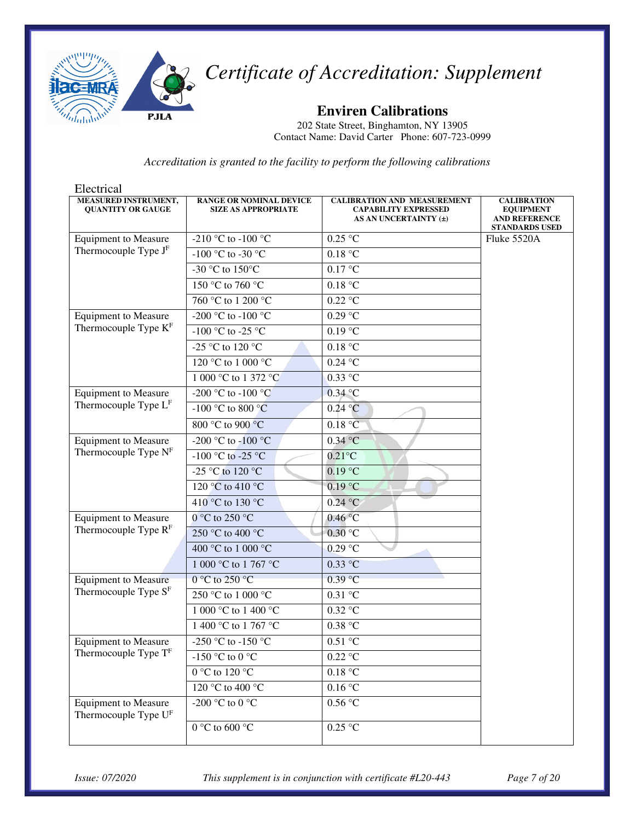

**Enviren Calibrations** 

202 State Street, Binghamton, NY 13905 Contact Name: David Carter Phone: 607-723-0999

| Electrical                                              |                                                              |                                                                                            |                                                                                         |
|---------------------------------------------------------|--------------------------------------------------------------|--------------------------------------------------------------------------------------------|-----------------------------------------------------------------------------------------|
| <b>MEASURED INSTRUMENT,</b><br><b>QUANTITY OR GAUGE</b> | <b>RANGE OR NOMINAL DEVICE</b><br><b>SIZE AS APPROPRIATE</b> | <b>CALIBRATION AND MEASUREMENT</b><br><b>CAPABILITY EXPRESSED</b><br>AS AN UNCERTAINTY (±) | <b>CALIBRATION</b><br><b>EQUIPMENT</b><br><b>AND REFERENCE</b><br><b>STANDARDS USED</b> |
| <b>Equipment to Measure</b>                             | -210 °C to -100 °C                                           | $0.25$ °C                                                                                  | Fluke 5520A                                                                             |
| Thermocouple Type $JF$                                  | -100 °C to -30 °C                                            | 0.18 °C                                                                                    |                                                                                         |
|                                                         | -30 °C to 150 °C                                             | 0.17 °C                                                                                    |                                                                                         |
|                                                         | 150 °C to 760 °C                                             | 0.18 °C                                                                                    |                                                                                         |
|                                                         | 760 °C to 1 200 °C                                           | $0.22$ °C                                                                                  |                                                                                         |
| <b>Equipment to Measure</b>                             | -200 °C to -100 °C                                           | 0.29 °C                                                                                    |                                                                                         |
| Thermocouple Type KF                                    | -100 °C to -25 °C                                            | 0.19 °C                                                                                    |                                                                                         |
|                                                         | -25 °C to 120 °C                                             | 0.18 °C                                                                                    |                                                                                         |
|                                                         | 120 °C to 1 000 °C                                           | $0.24\text{ °C}$                                                                           |                                                                                         |
|                                                         | 1 000 °C to 1 372 °C                                         | $0.33$ °C                                                                                  |                                                                                         |
| <b>Equipment to Measure</b>                             | -200 °C to -100 °C                                           | $0.34$ °C                                                                                  |                                                                                         |
| Thermocouple Type LF                                    | $-100$ °C to 800 °C                                          | 0.24 °C                                                                                    |                                                                                         |
|                                                         | 800 °C to 900 °C                                             | 0.18 °C                                                                                    |                                                                                         |
| <b>Equipment to Measure</b>                             | -200 °C to -100 °C                                           | $0.34$ °C                                                                                  |                                                                                         |
| Thermocouple Type NF                                    | -100 °C to -25 °C                                            | $0.21^{\circ}$ C                                                                           |                                                                                         |
|                                                         | -25 °C to 120 °C                                             | $0.19$ °C                                                                                  |                                                                                         |
|                                                         | 120 °C to 410 °C                                             | 0.19 °C                                                                                    |                                                                                         |
|                                                         | 410 °C to 130 °C                                             | $0.24$ °C                                                                                  |                                                                                         |
| <b>Equipment to Measure</b>                             | $0^{\circ}$ C to 250 $^{\circ}$ C                            | 0.46 °C                                                                                    |                                                                                         |
| Thermocouple Type $RF$                                  | 250 °C to 400 °C                                             | 0.30 °C                                                                                    |                                                                                         |
|                                                         | 400 °C to 1 000 °C                                           | 0.29 °C                                                                                    |                                                                                         |
|                                                         | 1 000 °C to 1 767 °C                                         | $0.33$ °C                                                                                  |                                                                                         |
| <b>Equipment to Measure</b>                             | $0 °C$ to 250 °C                                             | 0.39 °C                                                                                    |                                                                                         |
| Thermocouple Type $SF$                                  | 250 °C to 1 000 °C                                           | $0.31\text{ °C}$                                                                           |                                                                                         |
|                                                         | 1 000 °C to 1 400 °C                                         | $0.32$ °C                                                                                  |                                                                                         |
|                                                         | 1 400 °C to 1 767 °C                                         | $0.38\ ^{\circ}\textrm{C}$                                                                 |                                                                                         |
| <b>Equipment to Measure</b>                             | -250 °C to -150 °C                                           | 0.51 °C                                                                                    |                                                                                         |
| Thermocouple Type T <sup>F</sup>                        | -150 °C to 0 °C                                              | $0.22$ °C                                                                                  |                                                                                         |
|                                                         | 0 °C to 120 °C                                               | 0.18 °C                                                                                    |                                                                                         |
|                                                         | 120 °C to 400 °C                                             | $0.16\,^{\circ}\mathrm{C}$                                                                 |                                                                                         |
| <b>Equipment to Measure</b><br>Thermocouple Type UF     | -200 °C to 0 °C                                              | 0.56 °C                                                                                    |                                                                                         |
|                                                         | 0 °C to 600 °C                                               | $0.25 \text{ °C}$                                                                          |                                                                                         |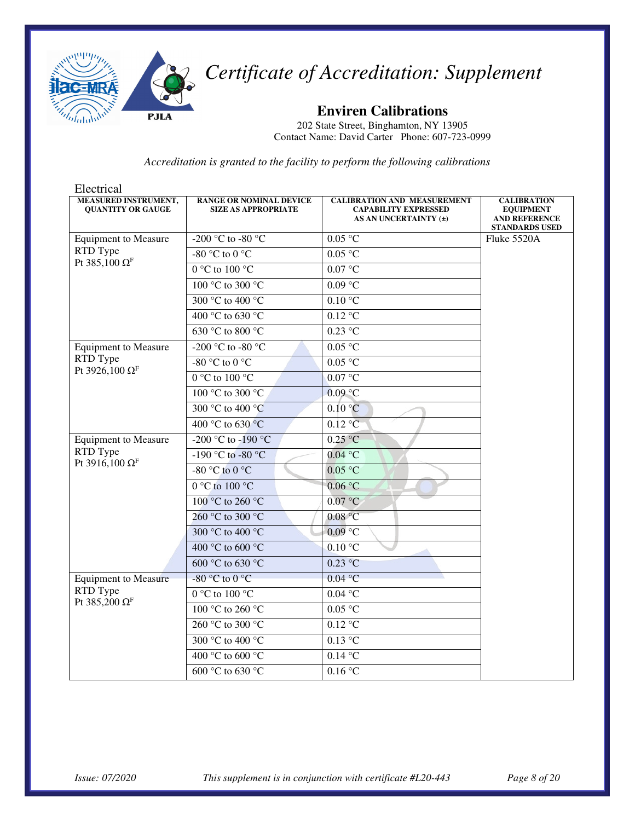

**Enviren Calibrations** 

202 State Street, Binghamton, NY 13905 Contact Name: David Carter Phone: 607-723-0999

| Electrical                                              |                                                              |                                                                                            |                                                                                         |
|---------------------------------------------------------|--------------------------------------------------------------|--------------------------------------------------------------------------------------------|-----------------------------------------------------------------------------------------|
| <b>MEASURED INSTRUMENT,</b><br><b>OUANTITY OR GAUGE</b> | <b>RANGE OR NOMINAL DEVICE</b><br><b>SIZE AS APPROPRIATE</b> | <b>CALIBRATION AND MEASUREMENT</b><br><b>CAPABILITY EXPRESSED</b><br>AS AN UNCERTAINTY (±) | <b>CALIBRATION</b><br><b>EQUIPMENT</b><br><b>AND REFERENCE</b><br><b>STANDARDS USED</b> |
| <b>Equipment to Measure</b>                             | -200 °C to -80 °C                                            | 0.05 °C                                                                                    | Fluke 5520A                                                                             |
| RTD Type                                                | -80 °C to 0 °C                                               | 0.05 °C                                                                                    |                                                                                         |
| Pt 385,100 $\Omega$ <sup>F</sup>                        | $0^{\circ}$ C to $100^{\circ}$ C                             | 0.07 °C                                                                                    |                                                                                         |
|                                                         | $100\ ^{\circ}\textrm{C}$ to $300\ ^{\circ}\textrm{C}$       | 0.09 °C                                                                                    |                                                                                         |
|                                                         | $\overline{300}$ °C to 400 °C                                | $0.10\text{ °C}$                                                                           |                                                                                         |
|                                                         | 400 °C to 630 °C                                             | 0.12 °C                                                                                    |                                                                                         |
|                                                         | 630 °C to 800 °C                                             | $0.23$ °C                                                                                  |                                                                                         |
| <b>Equipment to Measure</b>                             | -200 °C to -80 °C                                            | 0.05 °C                                                                                    |                                                                                         |
| RTD Type                                                | -80 °C to 0 °C                                               | 0.05 °C                                                                                    |                                                                                         |
| Pt 3926,100 Ω <sup>F</sup>                              | $0^{\circ}$ C to $100^{\circ}$ C                             | 0.07 °C                                                                                    |                                                                                         |
|                                                         | 100 °C to 300 °C                                             | $0.09$ °C                                                                                  |                                                                                         |
|                                                         | 300 °C to 400 °C                                             | 0.10 °C                                                                                    |                                                                                         |
|                                                         | 400 °C to 630 °C                                             | 0.12 °C                                                                                    |                                                                                         |
| <b>Equipment to Measure</b>                             | -200 °C to -190 °C                                           | $0.25\text{ °C}$                                                                           |                                                                                         |
| RTD Type<br>Pt 3916,100 Ω <sup>F</sup>                  | -190 °C to -80 °C                                            | $0.04$ °C                                                                                  |                                                                                         |
|                                                         | -80 °C to 0 °C                                               | $0.05$ °C                                                                                  |                                                                                         |
|                                                         | $0 °C$ to $100 °C$                                           | 0.06 °C                                                                                    |                                                                                         |
|                                                         | 100 °C to 260 °C                                             | 0.07 °C                                                                                    |                                                                                         |
|                                                         | 260 °C to 300 °C                                             | 0.08 °C                                                                                    |                                                                                         |
|                                                         | 300 °C to 400 °C                                             | $0.09$ °C                                                                                  |                                                                                         |
|                                                         | 400 °C to 600 °C                                             | $0.10\text{ °C}$                                                                           |                                                                                         |
|                                                         | 600 °C to 630 °C                                             | $0.23$ °C                                                                                  |                                                                                         |
| <b>Equipment to Measure</b>                             | $-80$ °C to $0$ °C                                           | 0.04 °C                                                                                    |                                                                                         |
| RTD Type<br>Pt 385,200 $\Omega$ <sup>F</sup>            | $0^{\circ}$ C to $100^{\circ}$ C                             | $0.04\text{ °C}$                                                                           |                                                                                         |
|                                                         | 100 °C to 260 °C                                             | 0.05 °C                                                                                    |                                                                                         |
|                                                         | 260 °C to 300 °C                                             | $0.12$ °C                                                                                  |                                                                                         |
|                                                         | 300 °C to 400 °C                                             | $0.13$ °C                                                                                  |                                                                                         |
|                                                         | 400 °C to 600 °C                                             | $0.14\text{ °C}$                                                                           |                                                                                         |
|                                                         | 600 °C to 630 °C                                             | 0.16 °C                                                                                    |                                                                                         |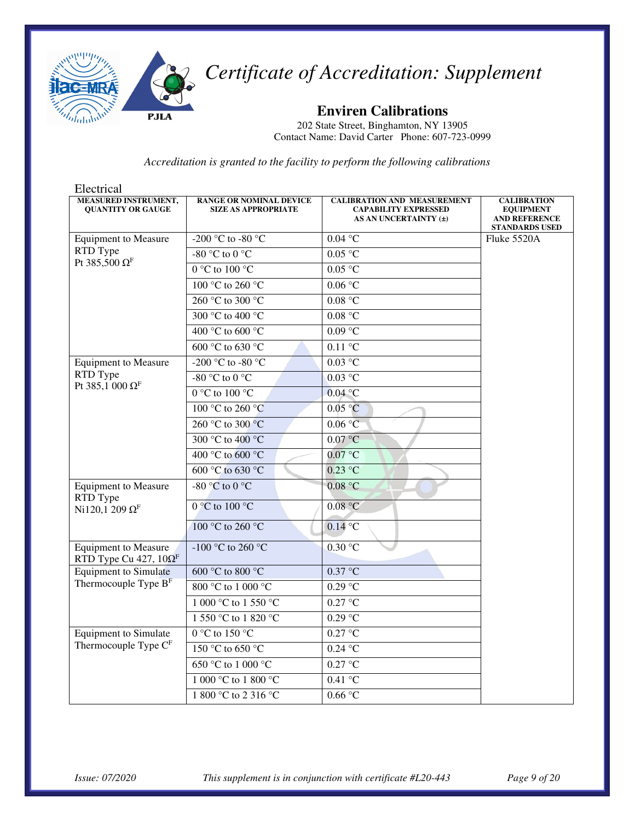

**Enviren Calibrations** 

202 State Street, Binghamton, NY 13905 Contact Name: David Carter Phone: 607-723-0999

| Electrical                                                              |                                                              |                                                                                            |                                                                                         |
|-------------------------------------------------------------------------|--------------------------------------------------------------|--------------------------------------------------------------------------------------------|-----------------------------------------------------------------------------------------|
| <b>MEASURED INSTRUMENT,</b><br><b>QUANTITY OR GAUGE</b>                 | <b>RANGE OR NOMINAL DEVICE</b><br><b>SIZE AS APPROPRIATE</b> | <b>CALIBRATION AND MEASUREMENT</b><br><b>CAPABILITY EXPRESSED</b><br>AS AN UNCERTAINTY (±) | <b>CALIBRATION</b><br><b>EQUIPMENT</b><br><b>AND REFERENCE</b><br><b>STANDARDS USED</b> |
| <b>Equipment to Measure</b>                                             | -200 °C to -80 $\overline{°C}$                               | 0.04 °C                                                                                    | Fluke 5520A                                                                             |
| RTD Type<br>Pt 385,500 $\Omega$ <sup>F</sup>                            | -80 °C to 0 °C                                               | 0.05 °C                                                                                    |                                                                                         |
|                                                                         | 0 °C to 100 °C                                               | 0.05 °C                                                                                    |                                                                                         |
|                                                                         | 100 °C to 260 °C                                             | 0.06 °C                                                                                    |                                                                                         |
|                                                                         | 260 °C to 300 °C                                             | 0.08 °C                                                                                    |                                                                                         |
|                                                                         | 300 °C to 400 °C                                             | 0.08 °C                                                                                    |                                                                                         |
|                                                                         | 400 °C to 600 °C                                             | $0.09$ °C                                                                                  |                                                                                         |
|                                                                         | 600 °C to 630 °C                                             | $0.11\text{ °C}$                                                                           |                                                                                         |
| <b>Equipment to Measure</b>                                             | -200 °C to -80 °C                                            | 0.03 °C                                                                                    |                                                                                         |
| RTD Type<br>Pt 385,1 000 Ω <sup>F</sup>                                 | -80 $\degree$ C to 0 $\degree$ C                             | $0.03$ °C                                                                                  |                                                                                         |
|                                                                         | $0^{\circ}$ C to $100^{\circ}$ C                             | $0.04$ °C                                                                                  |                                                                                         |
|                                                                         | 100 °C to 260 °C                                             | 0.05 °C                                                                                    |                                                                                         |
|                                                                         | 260 °C to 300 °C                                             | 0.06 °C                                                                                    |                                                                                         |
|                                                                         | 300 °C to 400 °C                                             | 0.07 °C                                                                                    |                                                                                         |
|                                                                         | 400 °C to 600 °C                                             | 0.07 °C                                                                                    |                                                                                         |
|                                                                         | 600 °C to 630 °C                                             | $0.23$ °C                                                                                  |                                                                                         |
| <b>Equipment to Measure</b><br>RTD Type                                 | -80 $\degree$ C to 0 $\degree$ C                             | 0.08 °C                                                                                    |                                                                                         |
| Ni120,1 209 $\Omega$ <sup>F</sup>                                       | $0^{\circ}$ C to $100^{\circ}$ C                             | 0.08 °C                                                                                    |                                                                                         |
|                                                                         | 100 °C to 260 °C                                             | $0.14$ °C                                                                                  |                                                                                         |
| <b>Equipment to Measure</b><br>RTD Type Cu 427, $10\Omega$ <sup>F</sup> | -100 °C to 260 °C                                            | 0.30 °C                                                                                    |                                                                                         |
| <b>Equipment to Simulate</b>                                            | $600\,\mathrm{°C}$ to $800\,\mathrm{°C}$                     | $0.37$ °C                                                                                  |                                                                                         |
| Thermocouple Type B <sup>F</sup>                                        | $800$ °C to 1 000 °C                                         | 0.29 °C                                                                                    |                                                                                         |
|                                                                         | 1 000 °C to 1 550 °C                                         | 0.27 °C                                                                                    |                                                                                         |
|                                                                         | 1 550 °C to 1 820 °C                                         | 0.29 °C                                                                                    |                                                                                         |
| <b>Equipment</b> to Simulate                                            | $0^{\circ}$ C to 150 $^{\circ}$ C                            | $0.27$ °C                                                                                  |                                                                                         |
| Thermocouple Type C <sup>F</sup>                                        | 150 °C to 650 °C                                             | $0.24$ °C                                                                                  |                                                                                         |
|                                                                         | 650 °C to 1 000 °C                                           | 0.27 °C                                                                                    |                                                                                         |
|                                                                         | 1 000 °C to 1 800 °C                                         | $0.41\text{ °C}$                                                                           |                                                                                         |
|                                                                         | 1 800 °C to 2 316 °C                                         | 0.66 °C                                                                                    |                                                                                         |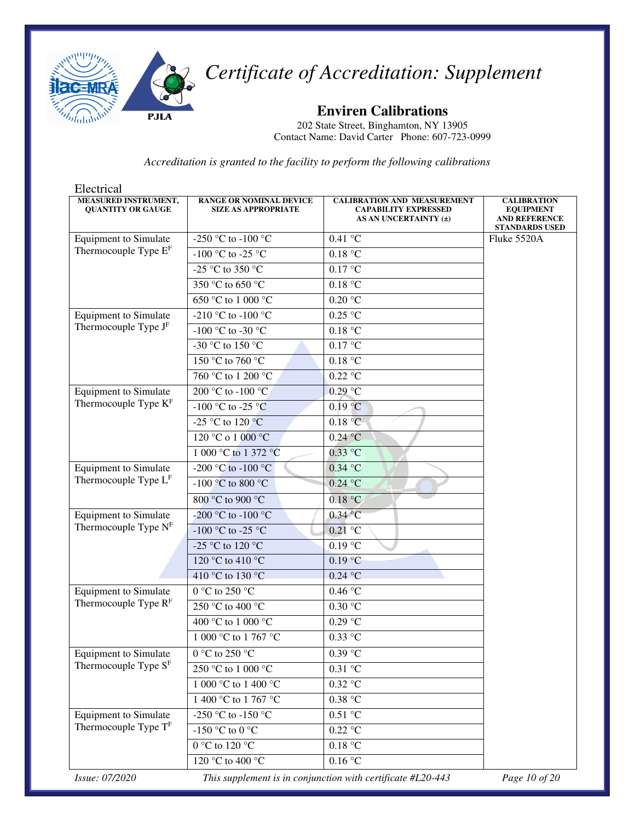

**Enviren Calibrations** 

202 State Street, Binghamton, NY 13905 Contact Name: David Carter Phone: 607-723-0999

| Electrical                                       |                                                              |                                                                                                |                                                                                         |
|--------------------------------------------------|--------------------------------------------------------------|------------------------------------------------------------------------------------------------|-----------------------------------------------------------------------------------------|
| MEASURED INSTRUMENT,<br><b>OUANTITY OR GAUGE</b> | <b>RANGE OR NOMINAL DEVICE</b><br><b>SIZE AS APPROPRIATE</b> | <b>CALIBRATION AND MEASUREMENT</b><br><b>CAPABILITY EXPRESSED</b><br>AS AN UNCERTAINTY $(\pm)$ | <b>CALIBRATION</b><br><b>EQUIPMENT</b><br><b>AND REFERENCE</b><br><b>STANDARDS USED</b> |
| <b>Equipment</b> to Simulate                     | -250 °C to -100 °C                                           | 0.41 °C                                                                                        | Fluke 5520A                                                                             |
| Thermocouple Type $EF$                           | $-100$ °C to $-25$ °C                                        | $0.18~^\circ\mathrm{C}$                                                                        |                                                                                         |
|                                                  | -25 °C to 350 °C                                             | 0.17 °C                                                                                        |                                                                                         |
|                                                  | 350 °C to 650 °C                                             | 0.18 °C                                                                                        |                                                                                         |
|                                                  | 650 °C to 1 000 °C                                           | $0.20\text{ °C}$                                                                               |                                                                                         |
| <b>Equipment</b> to Simulate                     | -210 °C to -100 °C                                           | 0.25 °C                                                                                        |                                                                                         |
| Thermocouple Type J <sup>F</sup>                 | -100 °C to -30 °C                                            | 0.18 °C                                                                                        |                                                                                         |
|                                                  | -30 °C to 150 °C                                             | 0.17 °C                                                                                        |                                                                                         |
|                                                  | 150 °C to 760 °C                                             | 0.18 °C                                                                                        |                                                                                         |
|                                                  | 760 °C to 1 200 °C                                           | $0.22$ °C                                                                                      |                                                                                         |
| <b>Equipment</b> to Simulate                     | 200 °C to -100 °C                                            | $0.29$ °C                                                                                      |                                                                                         |
| Thermocouple Type K <sup>F</sup>                 | -100 °C to -25 °C                                            | 0.19 °C                                                                                        |                                                                                         |
|                                                  | -25 °C to 120 °C                                             | 0.18 °C                                                                                        |                                                                                         |
|                                                  | 120 °C o 1 000 °C                                            | $0.24$ °C                                                                                      |                                                                                         |
|                                                  | 1 000 °C to 1 372 °C                                         | $0.33$ °C                                                                                      |                                                                                         |
| <b>Equipment</b> to Simulate                     | -200 °C to -100 °C                                           | $0.34$ °C                                                                                      |                                                                                         |
| Thermocouple Type L <sup>F</sup>                 | -100 °C to 800 °C                                            | $0.24$ °C                                                                                      |                                                                                         |
|                                                  | 800 °C to 900 °C                                             | 0.18 °C                                                                                        |                                                                                         |
| <b>Equipment</b> to Simulate                     | -200 °C to -100 °C                                           | $0.34$ °C                                                                                      |                                                                                         |
| Thermocouple Type NF                             | -100 °C to -25 °C                                            | $0.21$ °C                                                                                      |                                                                                         |
|                                                  | -25 °C to 120 °C                                             | $0.19$ °C                                                                                      |                                                                                         |
|                                                  | 120 °C to 410 °C                                             | 0.19 °C                                                                                        |                                                                                         |
|                                                  | 410 °C to 130 °C                                             | 0.24 °C                                                                                        |                                                                                         |
| <b>Equipment</b> to Simulate                     | 0 °C to 250 °C                                               | 0.46 °C                                                                                        |                                                                                         |
| Thermocouple Type R <sup>F</sup>                 | 250 °C to 400 °C                                             | 0.30 °C                                                                                        |                                                                                         |
|                                                  | 400 °C to 1 000 °C                                           | $0.29$ °C                                                                                      |                                                                                         |
|                                                  | 1 000 °C to 1 767 °C                                         | $0.33$ °C                                                                                      |                                                                                         |
| <b>Equipment</b> to Simulate                     | $0~^\circ\mathrm{C}$ to 250 $^\circ\mathrm{C}$               | $0.39$ °C                                                                                      |                                                                                         |
| Thermocouple Type S <sup>F</sup>                 | 250 °C to 1 000 °C                                           | 0.31 °C                                                                                        |                                                                                         |
|                                                  | 1 000 °C to 1 400 °C                                         | $0.32$ °C                                                                                      |                                                                                         |
|                                                  | 1 400 °C to 1 767 °C                                         | 0.38 °C                                                                                        |                                                                                         |
| <b>Equipment</b> to Simulate                     | -250 °C to -150 °C                                           | 0.51 °C                                                                                        |                                                                                         |
| Thermocouple Type TF                             | -150 °C to 0 °C                                              | $0.22$ °C                                                                                      |                                                                                         |
|                                                  | $0^{\circ}$ C to 120 $^{\circ}$ C                            | 0.18 °C                                                                                        |                                                                                         |
|                                                  | 120 °C to 400 °C                                             | 0.16 °C                                                                                        |                                                                                         |
| Issue: 07/2020                                   |                                                              | This supplement is in conjunction with certificate #L20-443                                    | Page 10 of 20                                                                           |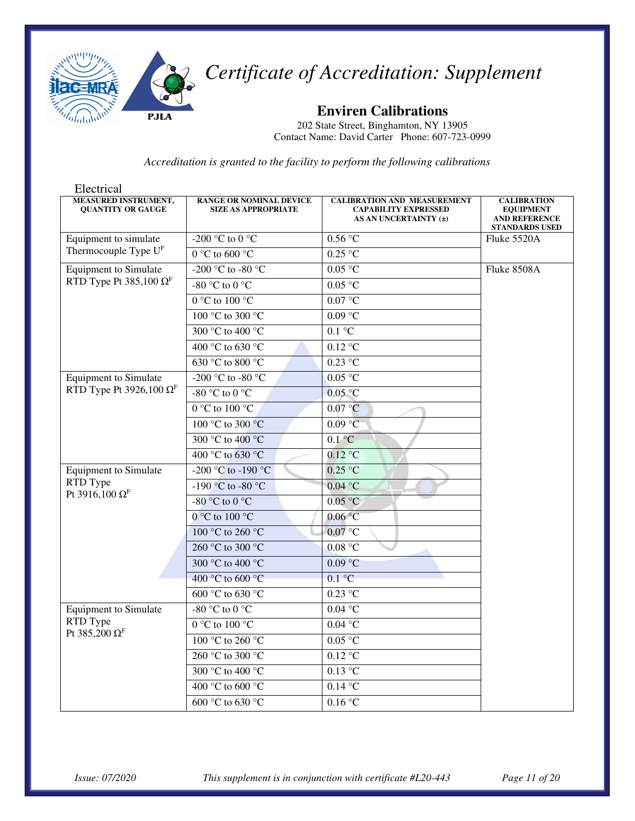

**Enviren Calibrations** 

202 State Street, Binghamton, NY 13905 Contact Name: David Carter Phone: 607-723-0999

| Electrical                                              |                                                              |                                                                                            |                                                                                         |
|---------------------------------------------------------|--------------------------------------------------------------|--------------------------------------------------------------------------------------------|-----------------------------------------------------------------------------------------|
| <b>MEASURED INSTRUMENT,</b><br><b>OUANTITY OR GAUGE</b> | <b>RANGE OR NOMINAL DEVICE</b><br><b>SIZE AS APPROPRIATE</b> | <b>CALIBRATION AND MEASUREMENT</b><br><b>CAPABILITY EXPRESSED</b><br>AS AN UNCERTAINTY (±) | <b>CALIBRATION</b><br><b>EQUIPMENT</b><br><b>AND REFERENCE</b><br><b>STANDARDS USED</b> |
| Equipment to simulate                                   | -200 °C to 0 °C                                              | 0.56 °C                                                                                    | Fluke 5520A                                                                             |
| Thermocouple Type U <sup>F</sup>                        | $0^{\circ}$ C to 600 °C                                      | 0.25 °C                                                                                    |                                                                                         |
| <b>Equipment</b> to Simulate                            | -200 °C to -80 °C                                            | 0.05 °C                                                                                    | Fluke 8508A                                                                             |
| RTD Type Pt 385,100 $\Omega$ <sup>F</sup>               | -80 °C to 0 °C                                               | 0.05 °C                                                                                    |                                                                                         |
|                                                         | 0 °C to 100 °C                                               | 0.07 °C                                                                                    |                                                                                         |
|                                                         | 100 °C to 300 °C                                             | $0.09$ °C                                                                                  |                                                                                         |
|                                                         | 300 °C to 400 °C                                             | $0.1 \degree C$                                                                            |                                                                                         |
|                                                         | 400 °C to 630 °C                                             | $0.12$ °C                                                                                  |                                                                                         |
|                                                         | 630 °C to 800 °C                                             | $0.23$ °C                                                                                  |                                                                                         |
| <b>Equipment</b> to Simulate                            | -200 °C to -80 °C                                            | 0.05 °C                                                                                    |                                                                                         |
| RTD Type Pt 3926,100 $\Omega$ <sup>F</sup>              | -80 $\degree$ C to 0 $\degree$ C                             | $0.05$ °C                                                                                  |                                                                                         |
|                                                         | $0^{\circ}$ C to $100^{\circ}$ C                             | 0.07 °C                                                                                    |                                                                                         |
|                                                         | 100 °C to 300 °C                                             | 0.09 °C                                                                                    |                                                                                         |
|                                                         | 300 °C to 400 °C                                             | $0.1 \degree C$                                                                            |                                                                                         |
|                                                         | 400 °C to 630 °C                                             | $0.12$ °C                                                                                  |                                                                                         |
| <b>Equipment</b> to Simulate                            | -200 °C to -190 °C                                           | $0.25$ °C                                                                                  |                                                                                         |
| RTD Type<br>Pt 3916,100 Ω <sup>F</sup>                  | -190 °C to -80 °C                                            | 0.04 °C                                                                                    |                                                                                         |
|                                                         | -80 $^{\circ}$ C to 0 $^{\circ}$ C                           | 0.05 °C                                                                                    |                                                                                         |
|                                                         | $0^{\circ}$ C to $100^{\circ}$ C                             | 0.06 °C                                                                                    |                                                                                         |
|                                                         | 100 °C to 260 °C                                             | $0.07$ °C                                                                                  |                                                                                         |
|                                                         | 260 °C to 300 °C                                             | 0.08 °C                                                                                    |                                                                                         |
|                                                         | 300 °C to 400 °C                                             | 0.09 °C                                                                                    |                                                                                         |
|                                                         | 400 °C to 600 °C                                             | 0.1 °C                                                                                     |                                                                                         |
|                                                         | 600 °C to 630 °C                                             | $0.23$ °C                                                                                  |                                                                                         |
| <b>Equipment</b> to Simulate                            | -80 °C to 0 °C                                               | $0.04$ °C                                                                                  |                                                                                         |
| RTD Type<br>Pt 385,200 $\Omega$ <sup>F</sup>            | 0 °C to 100 °C                                               | $0.04\text{ °C}$                                                                           |                                                                                         |
|                                                         | 100 °C to 260 °C                                             | 0.05 °C                                                                                    |                                                                                         |
|                                                         | 260 °C to 300 °C                                             | $0.12 \text{ °C}$                                                                          |                                                                                         |
|                                                         | 300 °C to 400 °C                                             | $0.13$ °C                                                                                  |                                                                                         |
|                                                         | 400 °C to 600 °C                                             | $0.14$ °C                                                                                  |                                                                                         |
|                                                         | 600 °C to 630 °C                                             | 0.16 °C                                                                                    |                                                                                         |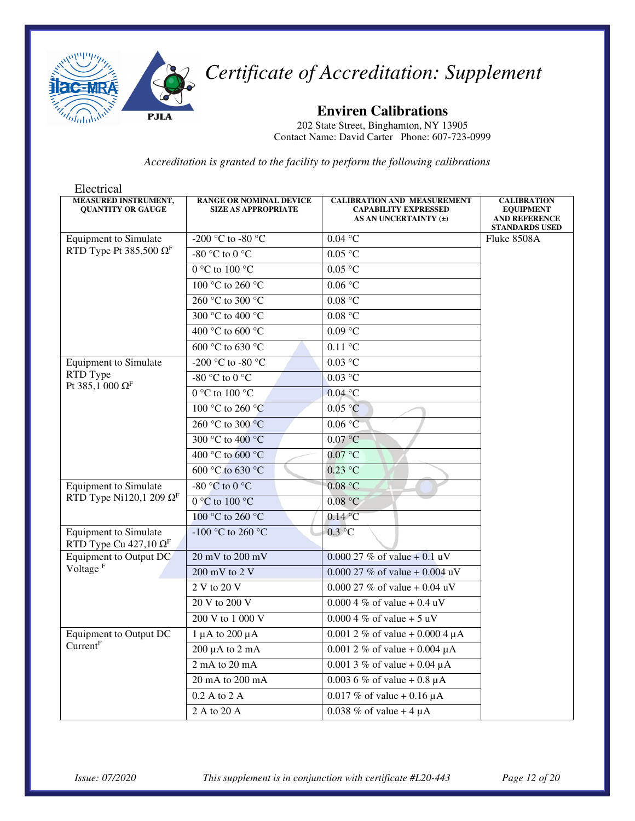

**Enviren Calibrations** 

202 State Street, Binghamton, NY 13905 Contact Name: David Carter Phone: 607-723-0999

| Electrical                                                               |                                                              |                                                                                            |                                                                                         |
|--------------------------------------------------------------------------|--------------------------------------------------------------|--------------------------------------------------------------------------------------------|-----------------------------------------------------------------------------------------|
| <b>MEASURED INSTRUMENT,</b><br><b>QUANTITY OR GAUGE</b>                  | <b>RANGE OR NOMINAL DEVICE</b><br><b>SIZE AS APPROPRIATE</b> | <b>CALIBRATION AND MEASUREMENT</b><br><b>CAPABILITY EXPRESSED</b><br>AS AN UNCERTAINTY (±) | <b>CALIBRATION</b><br><b>EQUIPMENT</b><br><b>AND REFERENCE</b><br><b>STANDARDS USED</b> |
| <b>Equipment</b> to Simulate                                             | -200 °C to -80 °C                                            | $0.04\ ^{\circ}\textrm{C}$                                                                 | Fluke 8508A                                                                             |
| RTD Type Pt 385,500 $\Omega$ <sup>F</sup>                                | -80 °C to 0 °C                                               | $0.05\ ^{\circ}\textrm{C}$                                                                 |                                                                                         |
|                                                                          | $0 °C$ to $100 °C$                                           | $0.05\ ^{\circ}\textrm{C}$                                                                 |                                                                                         |
|                                                                          | 100 °C to 260 °C                                             | 0.06 °C                                                                                    |                                                                                         |
|                                                                          | 260 °C to 300 °C                                             | 0.08 °C                                                                                    |                                                                                         |
|                                                                          | 300 °C to 400 °C                                             | $0.08\ ^{\circ}\textrm{C}$                                                                 |                                                                                         |
|                                                                          | 400 °C to 600 °C                                             | $0.09$ °C                                                                                  |                                                                                         |
|                                                                          | 600 °C to 630 °C                                             | $0.11\text{ °C}$                                                                           |                                                                                         |
| <b>Equipment</b> to Simulate                                             | -200 °C to -80 °C                                            | 0.03 °C                                                                                    |                                                                                         |
| RTD Type                                                                 | -80 °C to 0 °C                                               | $0.03 \degree C$                                                                           |                                                                                         |
| Pt 385,1 000 $\Omega$ <sup>F</sup>                                       | 0 °C to 100 °C                                               | $0.04$ °C                                                                                  |                                                                                         |
|                                                                          | 100 °C to 260 °C                                             | 0.05 °C                                                                                    |                                                                                         |
|                                                                          | 260 °C to 300 °C                                             | 0.06 °C                                                                                    |                                                                                         |
|                                                                          | 300 °C to 400 °C                                             | $0.07$ °C                                                                                  |                                                                                         |
|                                                                          | 400 °C to 600 °C                                             | 0.07 °C                                                                                    |                                                                                         |
|                                                                          | 600 °C to 630 °C                                             | $0.23$ °C                                                                                  |                                                                                         |
| <b>Equipment</b> to Simulate                                             | -80 °C to 0 °C                                               | 0.08 °C                                                                                    |                                                                                         |
| RTD Type Ni120,1 209 $\Omega$ <sup>F</sup>                               | $0^{\circ}$ C to $100^{\circ}$ C                             | 0.08 °C                                                                                    |                                                                                         |
|                                                                          | 100 °C to 260 °C                                             | $0.14$ °C                                                                                  |                                                                                         |
| <b>Equipment</b> to Simulate<br>RTD Type Cu 427,10 $\Omega$ <sup>F</sup> | -100 °C to 260 °C                                            | 0.3 °C                                                                                     |                                                                                         |
| Equipment to Output DC                                                   | 20 mV to 200 mV                                              | $0.00027 \%$ of value + 0.1 uV                                                             |                                                                                         |
| Voltage <sup>F</sup>                                                     | $200$ mV to $2$ V                                            | 0.000 27 % of value + 0.004 uV                                                             |                                                                                         |
|                                                                          | 2 V to 20 V                                                  | 0.000 27 % of value + 0.04 uV                                                              |                                                                                         |
|                                                                          | 20 V to 200 V                                                | $0.0004\%$ of value + 0.4 uV                                                               |                                                                                         |
|                                                                          | 200 V to 1 000 V                                             | $0.0004 \%$ of value + 5 uV                                                                |                                                                                         |
| Equipment to Output DC                                                   | 1 µA to 200 µA                                               | 0.001 2 % of value + 0.000 4 $\mu$ A                                                       |                                                                                         |
| Current <sup>F</sup>                                                     | $200 \mu A$ to $2 \mu A$                                     | 0.001 2 % of value + 0.004 $\mu$ A                                                         |                                                                                         |
|                                                                          | 2 mA to 20 mA                                                | 0.001 3 % of value + 0.04 $\mu$ A                                                          |                                                                                         |
|                                                                          | 20 mA to 200 mA                                              | 0.003 6 % of value + 0.8 $\mu$ A                                                           |                                                                                         |
|                                                                          | 0.2 A to 2 A                                                 | 0.017 % of value + 0.16 $\mu$ A                                                            |                                                                                         |
|                                                                          | 2 A to 20 A                                                  | 0.038 % of value + 4 $\mu$ A                                                               |                                                                                         |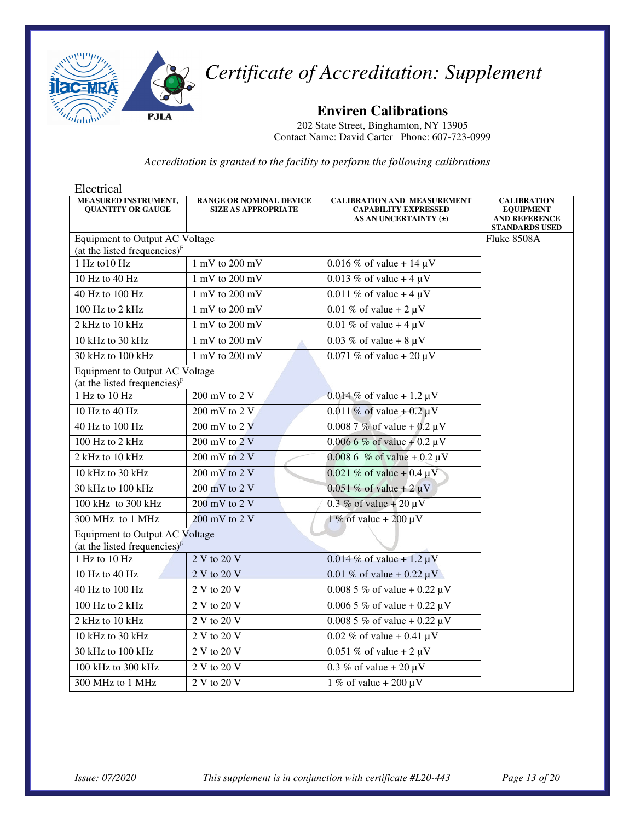

**Enviren Calibrations** 

202 State Street, Binghamton, NY 13905 Contact Name: David Carter Phone: 607-723-0999

| Electrical                                                               |                                                              |                                                                                            |                                                                                         |
|--------------------------------------------------------------------------|--------------------------------------------------------------|--------------------------------------------------------------------------------------------|-----------------------------------------------------------------------------------------|
| MEASURED INSTRUMENT,<br><b>OUANTITY OR GAUGE</b>                         | <b>RANGE OR NOMINAL DEVICE</b><br><b>SIZE AS APPROPRIATE</b> | <b>CALIBRATION AND MEASUREMENT</b><br><b>CAPABILITY EXPRESSED</b><br>AS AN UNCERTAINTY (±) | <b>CALIBRATION</b><br><b>EQUIPMENT</b><br><b>AND REFERENCE</b><br><b>STANDARDS USED</b> |
| Equipment to Output AC Voltage                                           |                                                              |                                                                                            | Fluke 8508A                                                                             |
| (at the listed frequencies) $F$                                          |                                                              |                                                                                            |                                                                                         |
| 1 Hz to 10 Hz                                                            | 1 mV to 200 mV                                               | 0.016 % of value + 14 $\mu$ V                                                              |                                                                                         |
| 10 Hz to 40 Hz                                                           | 1 mV to 200 mV                                               | 0.013 % of value + 4 $\mu$ V                                                               |                                                                                         |
| 40 Hz to 100 Hz                                                          | 1 mV to 200 mV                                               | 0.011 % of value + 4 $\mu$ V                                                               |                                                                                         |
| 100 Hz to 2 kHz                                                          | 1 mV to 200 mV                                               | 0.01 % of value + $2 \mu V$                                                                |                                                                                         |
| 2 kHz to 10 kHz                                                          | 1 mV to 200 mV                                               | 0.01 % of value + 4 $\mu$ V                                                                |                                                                                         |
| 10 kHz to 30 kHz                                                         | 1 mV to 200 mV                                               | $0.03\%$ of value + 8 µV                                                                   |                                                                                         |
| 30 kHz to 100 kHz                                                        | 1 mV to 200 mV                                               | 0.071 % of value + 20 $\mu$ V                                                              |                                                                                         |
| Equipment to Output AC Voltage<br>(at the listed frequencies) $F$        |                                                              |                                                                                            |                                                                                         |
| 1 Hz to 10 Hz                                                            | 200 mV to 2 V                                                | $0.014\%$ of value + 1.2 µV                                                                |                                                                                         |
| 10 Hz to 40 Hz                                                           | 200 mV to 2 V                                                | 0.011 % of value + 0.2 $\mu$ V                                                             |                                                                                         |
| 40 Hz to 100 Hz                                                          | 200 mV to 2 V                                                | $0.008$ 7% of value + 0.2 $\mu$ V                                                          |                                                                                         |
| 100 Hz to 2 kHz                                                          | $200$ mV to $2$ V                                            | $0.0066\%$ of value + 0.2 µV                                                               |                                                                                         |
| 2 kHz to 10 kHz                                                          | 200 mV to 2 V                                                | 0.008 6 % of value + 0.2 $\mu$ V                                                           |                                                                                         |
| 10 kHz to 30 kHz                                                         | $200 \text{ mV}$ to $2 \text{ V}$                            | 0.021 % of value + 0.4 $\mu$ V                                                             |                                                                                         |
| 30 kHz to 100 kHz                                                        | 200 mV to 2 V                                                | 0.051 % of value + $2 \mu V$                                                               |                                                                                         |
| 100 kHz to 300 kHz                                                       | 200 mV to 2 V                                                | 0.3 % of value + 20 $\mu$ V                                                                |                                                                                         |
| 300 MHz to 1 MHz                                                         | 200 mV to 2 V                                                | 1 % of value + 200 $\mu$ V                                                                 |                                                                                         |
| <b>Equipment to Output AC Voltage</b><br>(at the listed frequencies) $F$ |                                                              |                                                                                            |                                                                                         |
| 1 Hz to 10 Hz                                                            | 2 V to 20 V                                                  | $0.014\%$ of value + 1.2 $\mu$ V                                                           |                                                                                         |
| 10 Hz to 40 Hz                                                           | 2 V to 20 V                                                  | 0.01 % of value + 0.22 $\mu$ V                                                             |                                                                                         |
| 40 Hz to 100 Hz                                                          | 2 V to 20 V                                                  | 0.008 5 % of value + 0.22 $\mu$ V                                                          |                                                                                         |
| 100 Hz to 2 kHz                                                          | 2 V to 20 V                                                  | 0.006 5 % of value + 0.22 $\mu$ V                                                          |                                                                                         |
| 2 kHz to 10 kHz                                                          | 2 V to 20 V                                                  | $0.0085\%$ of value + $0.22 \mu V$                                                         |                                                                                         |
| 10 kHz to 30 kHz                                                         | 2 V to 20 V                                                  | 0.02 % of value + 0.41 $\mu$ V                                                             |                                                                                         |
| 30 kHz to 100 kHz                                                        | 2 V to 20 V                                                  | 0.051 % of value + $2 \mu V$                                                               |                                                                                         |
| 100 kHz to 300 kHz                                                       | 2 V to 20 V                                                  | 0.3 % of value + 20 $\mu$ V                                                                |                                                                                         |
| 300 MHz to 1 MHz                                                         | 2 V to 20 V                                                  | 1 % of value + 200 $\mu$ V                                                                 |                                                                                         |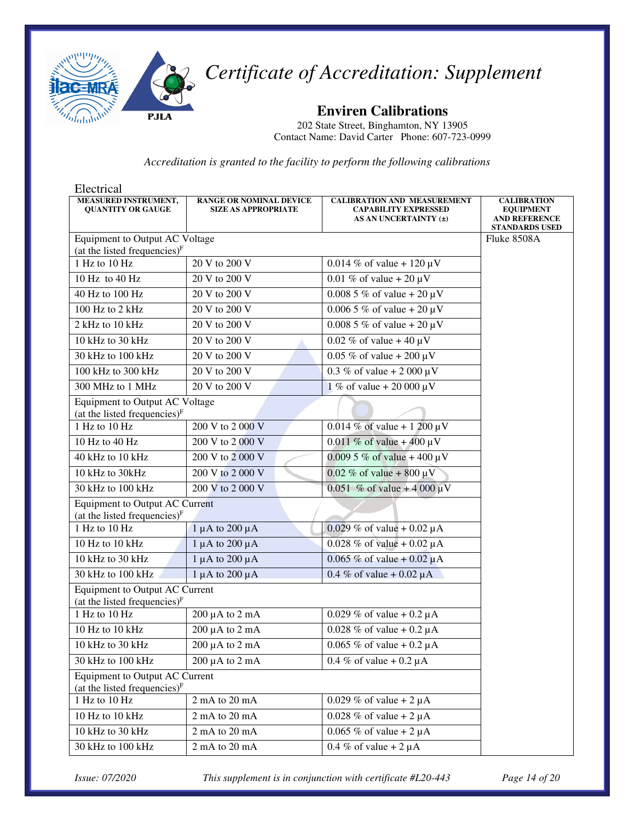

**Enviren Calibrations** 

202 State Street, Binghamton, NY 13905 Contact Name: David Carter Phone: 607-723-0999

*Accreditation is granted to the facility to perform the following calibrations* 

| Electrical                                                               |                                                              |                                                                                            |                                                                                         |
|--------------------------------------------------------------------------|--------------------------------------------------------------|--------------------------------------------------------------------------------------------|-----------------------------------------------------------------------------------------|
| MEASURED INSTRUMENT,<br><b>QUANTITY OR GAUGE</b>                         | <b>RANGE OR NOMINAL DEVICE</b><br><b>SIZE AS APPROPRIATE</b> | <b>CALIBRATION AND MEASUREMENT</b><br><b>CAPABILITY EXPRESSED</b><br>AS AN UNCERTAINTY (±) | <b>CALIBRATION</b><br><b>EQUIPMENT</b><br><b>AND REFERENCE</b><br><b>STANDARDS USED</b> |
| Equipment to Output AC Voltage<br>(at the listed frequencies) $F$        | Fluke 8508A                                                  |                                                                                            |                                                                                         |
| 1 Hz to 10 Hz                                                            | 20 V to 200 V                                                | 0.014 % of value + 120 $\mu$ V                                                             |                                                                                         |
| 10 Hz to 40 Hz                                                           | 20 V to 200 V                                                | 0.01 % of value + 20 $\mu$ V                                                               |                                                                                         |
| 40 Hz to 100 Hz                                                          | 20 V to 200 V                                                | $0.0085\%$ of value + 20 µV                                                                |                                                                                         |
| 100 Hz to 2 kHz                                                          | 20 V to 200 V                                                | $0.0065 \%$ of value + 20 µV                                                               |                                                                                         |
| 2 kHz to 10 kHz                                                          | 20 V to 200 V                                                | $0.0085\%$ of value + 20 µV                                                                |                                                                                         |
| 10 kHz to 30 kHz                                                         | $\overline{20}$ V to 200 V                                   | 0.02 % of value + 40 $\mu$ V                                                               |                                                                                         |
| 30 kHz to 100 kHz                                                        | 20 V to 200 V                                                | 0.05 % of value + 200 $\mu$ V                                                              |                                                                                         |
| 100 kHz to 300 kHz                                                       | 20 V to 200 V                                                | 0.3 % of value + 2 000 $\mu$ V                                                             |                                                                                         |
| 300 MHz to 1 MHz                                                         | 20 V to 200 V                                                | 1 % of value + 20 000 $\mu$ V                                                              |                                                                                         |
| Equipment to Output AC Voltage<br>(at the listed frequencies) $F$        |                                                              |                                                                                            |                                                                                         |
| 1 Hz to 10 Hz                                                            | 200 V to 2 000 V                                             | $0.014\%$ of value + 1 200 $\mu$ V                                                         |                                                                                         |
| 10 Hz to 40 Hz                                                           | 200 V to 2 000 V                                             | 0.011 % of value + 400 $\mu$ V                                                             |                                                                                         |
| 40 kHz to 10 kHz                                                         | 200 V to 2 000 V                                             | 0.009 5 % of value + 400 $\mu$ V                                                           |                                                                                         |
| 10 kHz to 30kHz                                                          | 200 V to 2 000 V                                             | 0.02 % of value + 800 $\mu$ V                                                              |                                                                                         |
| 30 kHz to 100 kHz                                                        | 200 V to 2 000 V                                             | 0.051 % of value + 4 000 $\mu$ V                                                           |                                                                                         |
| <b>Equipment to Output AC Current</b><br>(at the listed frequencies) $F$ |                                                              |                                                                                            |                                                                                         |
| 1 Hz to 10 Hz                                                            | 1 µA to 200 µA                                               | 0.029 % of value + 0.02 $\mu$ A                                                            |                                                                                         |
| 10 Hz to 10 kHz                                                          | $1 \mu A$ to $200 \mu A$                                     | 0.028 % of value + 0.02 $\mu$ A                                                            |                                                                                         |
| 10 kHz to 30 kHz                                                         | $1 \mu A$ to $200 \mu A$                                     | 0.065 % of value + 0.02 $\mu$ A                                                            |                                                                                         |
| 30 kHz to 100 kHz                                                        | $1 \mu A$ to $200 \mu A$                                     | 0.4 % of value + 0.02 $\mu$ A                                                              |                                                                                         |
| <b>Equipment to Output AC Current</b><br>(at the listed frequencies) $F$ |                                                              |                                                                                            |                                                                                         |
| 1 Hz to 10 Hz                                                            | $200 \mu A$ to $2 \mu A$                                     | 0.029 % of value + 0.2 $\mu$ A                                                             |                                                                                         |
| 10 Hz to 10 kHz                                                          | $200 \mu A$ to $2 \mu A$                                     | 0.028 % of value + 0.2 $\mu$ A                                                             |                                                                                         |
| 10 kHz to 30 kHz                                                         | 200 µA to 2 mA                                               | 0.065 % of value + 0.2 $\mu$ A                                                             |                                                                                         |
| 30 kHz to 100 kHz                                                        | 200 µA to 2 mA                                               | 0.4 % of value + $0.2 \mu A$                                                               |                                                                                         |
| <b>Equipment to Output AC Current</b><br>(at the listed frequencies) $F$ |                                                              |                                                                                            |                                                                                         |
| 1 Hz to 10 Hz                                                            | 2 mA to 20 mA                                                | 0.029 % of value + 2 $\mu$ A                                                               |                                                                                         |
| 10 Hz to 10 kHz                                                          | 2 mA to 20 mA                                                | 0.028 % of value + 2 $\mu$ A                                                               |                                                                                         |
| 10 kHz to 30 kHz                                                         | 2 mA to 20 mA                                                | 0.065 % of value + $2 \mu A$                                                               |                                                                                         |
| 30 kHz to 100 kHz                                                        | 2 mA to 20 mA                                                | 0.4 % of value + 2 $\mu$ A                                                                 |                                                                                         |

*Issue: 07/2020 This supplement is in conjunction with certificate #L20-443 Page 14 of 20*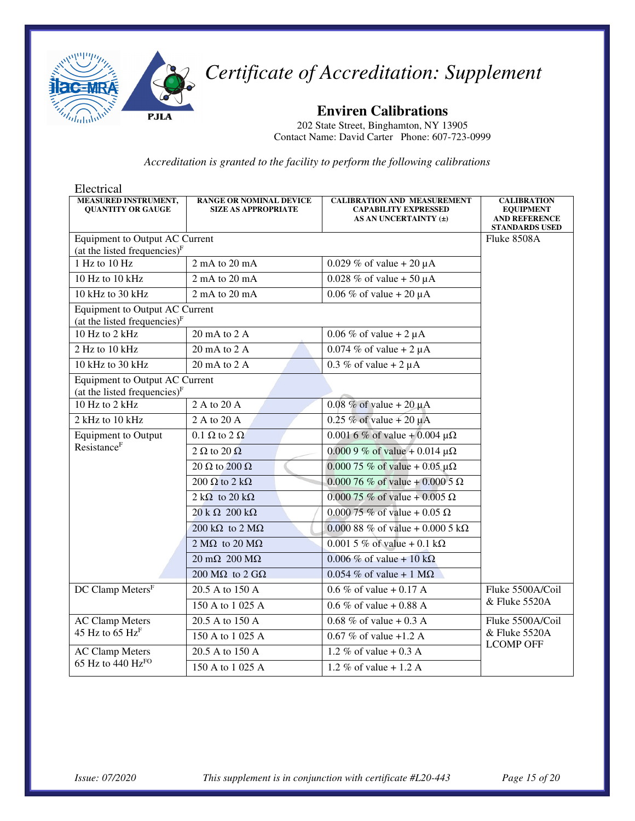

**Enviren Calibrations** 

202 State Street, Binghamton, NY 13905 Contact Name: David Carter Phone: 607-723-0999

| Electrical                                                                        |                                                              |                                                                                            |                                                                                         |  |
|-----------------------------------------------------------------------------------|--------------------------------------------------------------|--------------------------------------------------------------------------------------------|-----------------------------------------------------------------------------------------|--|
| <b>MEASURED INSTRUMENT,</b><br><b>QUANTITY OR GAUGE</b>                           | <b>RANGE OR NOMINAL DEVICE</b><br><b>SIZE AS APPROPRIATE</b> | <b>CALIBRATION AND MEASUREMENT</b><br><b>CAPABILITY EXPRESSED</b><br>AS AN UNCERTAINTY (±) | <b>CALIBRATION</b><br><b>EQUIPMENT</b><br><b>AND REFERENCE</b><br><b>STANDARDS USED</b> |  |
| <b>Equipment to Output AC Current</b>                                             |                                                              |                                                                                            | Fluke 8508A                                                                             |  |
| (at the listed frequencies) $F$                                                   |                                                              |                                                                                            |                                                                                         |  |
| 1 Hz to 10 Hz                                                                     | 2 mA to 20 mA                                                | 0.029 % of value + 20 $\mu$ A                                                              |                                                                                         |  |
| 10 Hz to 10 kHz                                                                   | 2 mA to 20 mA                                                | 0.028 % of value + 50 $\mu$ A                                                              |                                                                                         |  |
| 10 kHz to 30 kHz                                                                  | 2 mA to 20 mA                                                | 0.06 % of value + 20 $\mu$ A                                                               |                                                                                         |  |
| <b>Equipment to Output AC Current</b><br>(at the listed frequencies) <sup>F</sup> |                                                              |                                                                                            |                                                                                         |  |
| 10 Hz to 2 kHz                                                                    | 20 mA to $2 \overline{A}$                                    | $0.06\%$ of value + 2 $\mu$ A                                                              |                                                                                         |  |
| 2 Hz to 10 kHz                                                                    | 20 mA to 2 A                                                 | $0.074\%$ of value + 2 $\mu$ A                                                             |                                                                                         |  |
| 10 kHz to 30 kHz                                                                  | 20 mA to 2 A                                                 | $0.3\%$ of value + 2 $\mu$ A                                                               |                                                                                         |  |
| <b>Equipment to Output AC Current</b><br>(at the listed frequencies) $F$          |                                                              |                                                                                            |                                                                                         |  |
| $10$ Hz to $2$ kHz                                                                | $2 \text{ A}$ to $20 \text{ A}$                              | 0.08 % of value + 20 $\mu$ A                                                               |                                                                                         |  |
| 2 kHz to 10 kHz                                                                   | 2 A to 20 A                                                  | $0.25 \%$ of value + 20 µA                                                                 |                                                                                         |  |
| <b>Equipment to Output</b>                                                        | $0.1 \Omega$ to $2 \Omega$                                   | 0.001 6 % of value + 0.004 $\mu\Omega$                                                     |                                                                                         |  |
| Resistance <sup>F</sup>                                                           | 2 $\Omega$ to 20 $\Omega$                                    | 0.000 9 % of value + 0.014 $\mu\Omega$                                                     |                                                                                         |  |
|                                                                                   | 20 $\Omega$ to 200 $\Omega$                                  | $0.00075 \%$ of value + 0.05 µ $\Omega$                                                    |                                                                                         |  |
|                                                                                   | 200 $\Omega$ to 2 k $\Omega$                                 | 0.000 76 % of value + 0.000 5 $\Omega$                                                     |                                                                                         |  |
|                                                                                   | 2 k $\Omega$ to 20 k $\Omega$                                | 0.000 75 % of value + 0.005 Ω                                                              |                                                                                         |  |
|                                                                                   | $20 k \Omega$ 200 k $\Omega$                                 | $0.00075 \%$ of value + 0.05 $\Omega$                                                      |                                                                                         |  |
|                                                                                   | 200 k $\Omega$ to 2 M $\Omega$                               | 0.000 88 % of value + 0.000 5 k $\Omega$                                                   |                                                                                         |  |
|                                                                                   | 2 M $\Omega$ to 20 M $\Omega$                                | 0.001 5 % of value + 0.1 k $\Omega$                                                        |                                                                                         |  |
|                                                                                   | $20 \text{ mA}$ $200 \text{ M}\Omega$                        | $0.006\%$ of value + 10 kΩ                                                                 |                                                                                         |  |
|                                                                                   | 200 M $\Omega$ to 2 G $\Omega$                               | $0.054\%$ of value + 1 M $\Omega$                                                          |                                                                                         |  |
| DC Clamp Meters <sup>F</sup>                                                      | 20.5 A to 150 A                                              | 0.6 % of value + 0.17 A                                                                    | Fluke 5500A/Coil                                                                        |  |
|                                                                                   | 150 A to 1 025 A                                             | 0.6 % of value + 0.88 A                                                                    | & Fluke 5520A                                                                           |  |
| <b>AC Clamp Meters</b>                                                            | 20.5 A to 150 A                                              | 0.68 % of value + 0.3 A                                                                    | Fluke 5500A/Coil                                                                        |  |
| 45 Hz to 65 $Hz^F$                                                                | 150 A to 1 025 A                                             | $\overline{0.67}$ % of value +1.2 A                                                        | & Fluke 5520A<br><b>LCOMP OFF</b>                                                       |  |
| <b>AC Clamp Meters</b>                                                            | 20.5 A to 150 A                                              | 1.2 % of value $+ 0.3$ A                                                                   |                                                                                         |  |
| 65 Hz to 440 $Hz^{FO}$                                                            | 150 A to 1 025 A                                             | 1.2 % of value $+ 1.2$ A                                                                   |                                                                                         |  |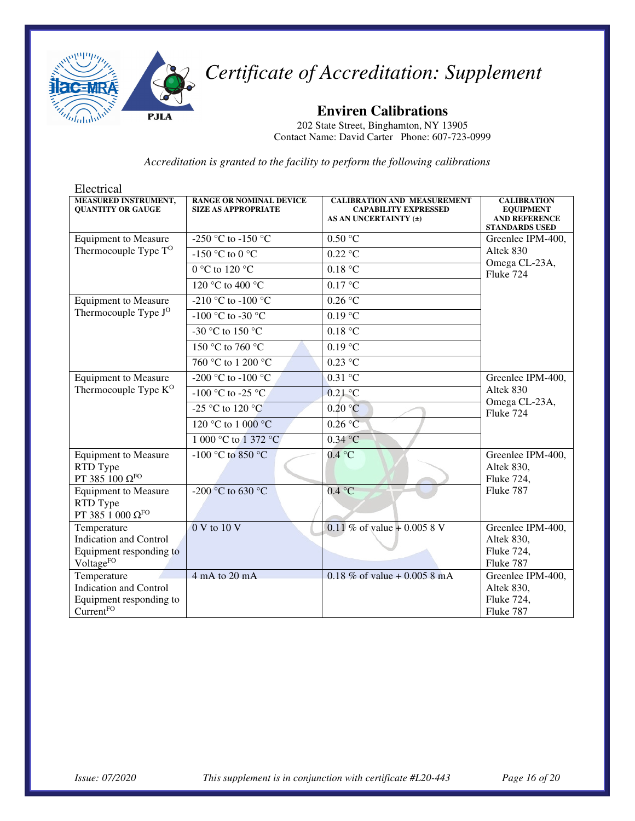

**Enviren Calibrations** 

202 State Street, Binghamton, NY 13905 Contact Name: David Carter Phone: 607-723-0999

| Electrical                                              |                                                              |                                                                                            |                                                                                         |  |
|---------------------------------------------------------|--------------------------------------------------------------|--------------------------------------------------------------------------------------------|-----------------------------------------------------------------------------------------|--|
| <b>MEASURED INSTRUMENT,</b><br><b>OUANTITY OR GAUGE</b> | <b>RANGE OR NOMINAL DEVICE</b><br><b>SIZE AS APPROPRIATE</b> | <b>CALIBRATION AND MEASUREMENT</b><br><b>CAPABILITY EXPRESSED</b><br>AS AN UNCERTAINTY (±) | <b>CALIBRATION</b><br><b>EQUIPMENT</b><br><b>AND REFERENCE</b><br><b>STANDARDS USED</b> |  |
| <b>Equipment to Measure</b>                             | -250 °C to -150 °C                                           | 0.50 °C                                                                                    | Greenlee IPM-400,                                                                       |  |
| Thermocouple Type $T^O$                                 | -150 °C to 0 °C                                              | $0.22$ °C                                                                                  | Altek 830                                                                               |  |
|                                                         | 0 °C to 120 °C                                               | 0.18 °C                                                                                    | Omega CL-23A,<br>Fluke 724                                                              |  |
|                                                         | 120 °C to 400 °C                                             | 0.17 °C                                                                                    |                                                                                         |  |
| <b>Equipment to Measure</b>                             | -210 °C to -100 °C                                           | $0.26\,\mathrm{°C}$                                                                        |                                                                                         |  |
| Thermocouple Type J <sup>O</sup>                        | -100 °C to -30 °C                                            | 0.19 °C                                                                                    |                                                                                         |  |
|                                                         | -30 °C to 150 °C                                             | 0.18 °C                                                                                    |                                                                                         |  |
|                                                         | 150 °C to 760 °C                                             | $0.19$ °C                                                                                  |                                                                                         |  |
|                                                         | 760 °C to 1 200 °C                                           | $0.23$ °C                                                                                  |                                                                                         |  |
| <b>Equipment to Measure</b>                             | -200 °C to -100 °C                                           | $0.31 \overline{C}$                                                                        | Greenlee IPM-400,                                                                       |  |
| Thermocouple Type K <sup>O</sup>                        | -100 °C to -25 °C                                            | $0.21$ °C                                                                                  | Altek 830                                                                               |  |
|                                                         | $-25$ °C to 120 °C                                           | 0.20 °C                                                                                    | Omega CL-23A,<br>Fluke 724                                                              |  |
|                                                         | 120 °C to 1 000 °C                                           | 0.26 °C                                                                                    |                                                                                         |  |
|                                                         | 1 000 °C to 1 372 °C                                         | $0.34$ °C                                                                                  |                                                                                         |  |
| <b>Equipment to Measure</b>                             | $-100$ °C to 850 °C                                          | 0.4 °C                                                                                     | Greenlee IPM-400,                                                                       |  |
| RTD Type<br>PT 385 100 $\Omega$ FO                      |                                                              |                                                                                            | Altek 830,<br>Fluke 724,                                                                |  |
| <b>Equipment to Measure</b>                             | -200 °C to 630 °C                                            | 0.4 °C                                                                                     | Fluke 787                                                                               |  |
| RTD Type                                                |                                                              |                                                                                            |                                                                                         |  |
| PT 385 1 000 $\Omega^{\rm FO}$                          |                                                              |                                                                                            |                                                                                         |  |
| Temperature                                             | 0 V to 10 V                                                  | 0.11 % of value + 0.005 8 V                                                                | Greenlee IPM-400,                                                                       |  |
| <b>Indication and Control</b>                           |                                                              |                                                                                            | Altek 830,                                                                              |  |
| Equipment responding to                                 |                                                              |                                                                                            | Fluke 724,                                                                              |  |
| Voltage <sup>FO</sup>                                   |                                                              |                                                                                            | Fluke 787                                                                               |  |
| Temperature                                             | $4 \text{ mA}$ to $20 \text{ mA}$                            | 0.18 % of value + 0.005 8 mA                                                               | Greenlee IPM-400,                                                                       |  |
| <b>Indication and Control</b>                           |                                                              |                                                                                            | Altek 830,                                                                              |  |
| Equipment responding to                                 |                                                              |                                                                                            | Fluke 724,                                                                              |  |
| CurrentFO                                               |                                                              |                                                                                            | Fluke 787                                                                               |  |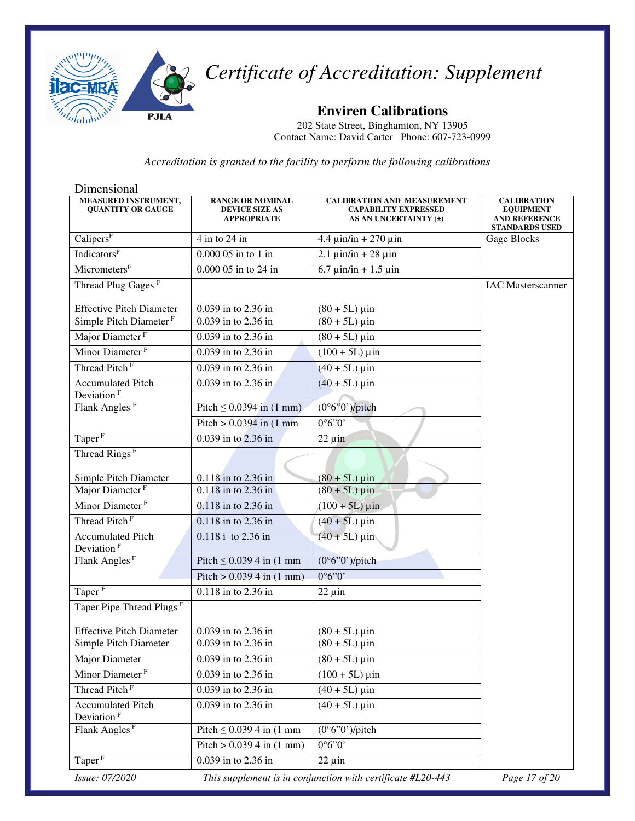

**Enviren Calibrations** 

202 State Street, Binghamton, NY 13905 Contact Name: David Carter Phone: 607-723-0999

| Dimensional                                             |                                                                        |                                                                                            |                                                                                         |
|---------------------------------------------------------|------------------------------------------------------------------------|--------------------------------------------------------------------------------------------|-----------------------------------------------------------------------------------------|
| <b>MEASURED INSTRUMENT,</b><br><b>QUANTITY OR GAUGE</b> | <b>RANGE OR NOMINAL</b><br><b>DEVICE SIZE AS</b><br><b>APPROPRIATE</b> | <b>CALIBRATION AND MEASUREMENT</b><br><b>CAPABILITY EXPRESSED</b><br>AS AN UNCERTAINTY (±) | <b>CALIBRATION</b><br><b>EQUIPMENT</b><br><b>AND REFERENCE</b><br><b>STANDARDS USED</b> |
| Calipers $\overline{F}$                                 | 4 in to 24 in                                                          | $4.4 \mu$ in/in + 270 $\mu$ in                                                             | Gage Blocks                                                                             |
| <b>Indicators</b> <sup>F</sup>                          | 0.000 05 in to 1 in                                                    | $2.1 \mu \text{in/in} + 28 \mu \text{in}$                                                  |                                                                                         |
| MicrometersF                                            | $0.00005$ in to $24 \overline{\text{in}}$                              | $6.7 \text{ } \mu \text{in/in} + 1.5 \text{ } \mu \text{in}$                               |                                                                                         |
| Thread Plug Gages <sup>F</sup>                          |                                                                        |                                                                                            | <b>IAC</b> Masterscanner                                                                |
| <b>Effective Pitch Diameter</b>                         | 0.039 in to 2.36 in                                                    | $(80 + 5L) \,\mu \text{in}$                                                                |                                                                                         |
| Simple Pitch Diameter <sup>F</sup>                      | 0.039 in to 2.36 in                                                    | $(80 + 5L) \,\mu \text{in}$                                                                |                                                                                         |
| Major Diameter <sup>F</sup>                             | 0.039 in to 2.36 in                                                    | $(80 + 5L) \,\mu \text{in}$                                                                |                                                                                         |
| Minor Diameter <sup>F</sup>                             | 0.039 in to 2.36 in                                                    | $(100 + 5L) \,\mu \text{in}$                                                               |                                                                                         |
| Thread Pitch <sup>F</sup>                               | 0.039 in to 2.36 in                                                    | $(40 + 5L) \,\mu \text{in}$                                                                |                                                                                         |
| <b>Accumulated Pitch</b><br>Deviation <sup>F</sup>      | 0.039 in to 2.36 in                                                    | $(40 + 5L)$ µin                                                                            |                                                                                         |
| Flank Angles <sup>F</sup>                               | Pitch $\leq 0.0394$ in (1 mm)                                          | $(0°6"0")$ /pitch                                                                          |                                                                                         |
|                                                         | Pitch $> 0.0394$ in $(1 \text{ mm})$                                   | 0°6"0"                                                                                     |                                                                                         |
| Taper <sup>F</sup>                                      | 0.039 in to 2.36 in                                                    | $22 \mu$ in                                                                                |                                                                                         |
| Thread Rings <sup>F</sup>                               |                                                                        |                                                                                            |                                                                                         |
| Simple Pitch Diameter                                   | 0.118 in to 2.36 in                                                    | $(80 + 5L) \,\mu \text{in}$                                                                |                                                                                         |
| Major Diameter <sup>F</sup>                             | 0.118 in to 2.36 in                                                    | $(80 + 5L) \,\mu \text{in}$                                                                |                                                                                         |
| Minor Diameter <sup>F</sup>                             | 0.118 in to 2.36 in                                                    | $(100 + 5L)$ µin                                                                           |                                                                                         |
| Thread Pitch <sup>F</sup>                               | 0.118 in to 2.36 in                                                    | $(40 + 5L) \,\mu \text{in}$                                                                |                                                                                         |
| Accumulated Pitch<br>Deviation <sup>F</sup>             | 0.118 i to 2.36 in                                                     | $(40 + 5L) \,\mu \text{in}$                                                                |                                                                                         |
| Flank Angles <sup>F</sup>                               | Pitch $\leq$ 0.039 4 in (1 mm                                          | $(0°6"0")$ /pitch                                                                          |                                                                                         |
|                                                         | Pitch $> 0.0394$ in $(1 \text{ mm})$                                   | 0°6"0"                                                                                     |                                                                                         |
| Taper <sup>F</sup>                                      | 0.118 in to 2.36 in                                                    | $22 \mu$ in                                                                                |                                                                                         |
| Taper Pipe Thread Plugs <sup>F</sup>                    |                                                                        |                                                                                            |                                                                                         |
| <b>Effective Pitch Diameter</b>                         | 0.039 in to 2.36 in                                                    | $(80 + 5L) \,\mu \text{in}$                                                                |                                                                                         |
| Simple Pitch Diameter                                   | 0.039 in to 2.36 in                                                    | $(80 + 5L) \,\mu \text{in}$                                                                |                                                                                         |
| Major Diameter                                          | 0.039 in to 2.36 in                                                    | $(80 + 5L) \,\mu \text{in}$                                                                |                                                                                         |
| Minor Diameter <sup>F</sup>                             | 0.039 in to 2.36 in                                                    | $(100 + 5L) \,\mu \text{in}$                                                               |                                                                                         |
| Thread Pitch <sup>F</sup>                               | 0.039 in to 2.36 in                                                    | $(40 + 5L) \,\mu \text{in}$                                                                |                                                                                         |
| <b>Accumulated Pitch</b><br>Deviation <sup>F</sup>      | 0.039 in to 2.36 in                                                    | $(40 + 5L) \,\mu \text{in}$                                                                |                                                                                         |
| Flank Angles <sup>F</sup>                               | Pitch $\leq$ 0.039 4 in (1 mm                                          | $(0°6"0")$ /pitch                                                                          |                                                                                         |
|                                                         | Pitch $> 0.0394$ in (1 mm)                                             | 0°6"0"                                                                                     |                                                                                         |
| Taper <sup>F</sup>                                      | 0.039 in to 2.36 in                                                    | $22 \mu$ in                                                                                |                                                                                         |
| Issue: 07/2020                                          |                                                                        | This supplement is in conjunction with certificate #L20-443                                | Page 17 of 20                                                                           |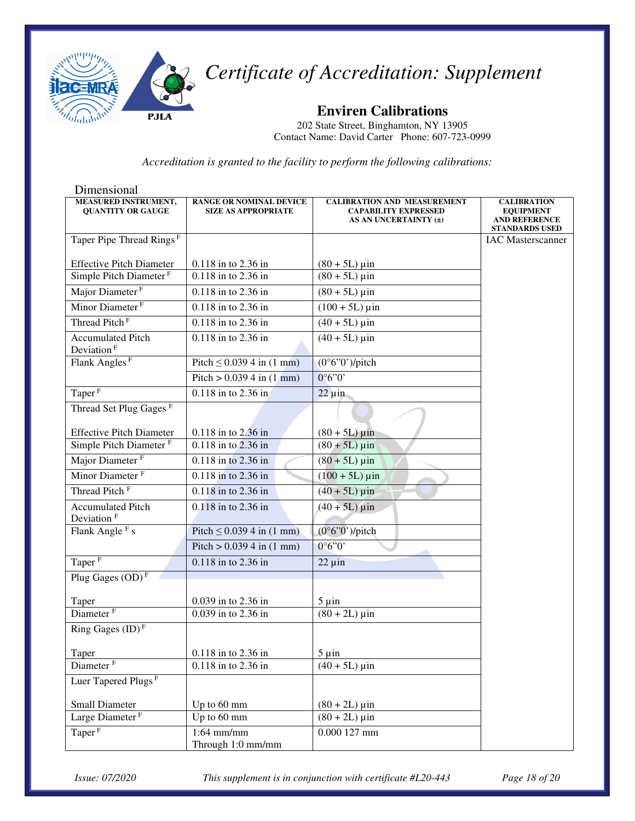

**Enviren Calibrations** 

202 State Street, Binghamton, NY 13905 Contact Name: David Carter Phone: 607-723-0999

*Accreditation is granted to the facility to perform the following calibrations:* 

| Dimensional                                             |                                                              |                                                                   |                                        |
|---------------------------------------------------------|--------------------------------------------------------------|-------------------------------------------------------------------|----------------------------------------|
| <b>MEASURED INSTRUMENT,</b><br><b>QUANTITY OR GAUGE</b> | <b>RANGE OR NOMINAL DEVICE</b><br><b>SIZE AS APPROPRIATE</b> | <b>CALIBRATION AND MEASUREMENT</b><br><b>CAPABILITY EXPRESSED</b> | <b>CALIBRATION</b><br><b>EQUIPMENT</b> |
|                                                         |                                                              | AS AN UNCERTAINTY (±)                                             | <b>AND REFERENCE</b>                   |
|                                                         |                                                              |                                                                   | <b>STANDARDS USED</b>                  |
| Taper Pipe Thread Rings <sup>F</sup>                    |                                                              |                                                                   | <b>IAC</b> Masterscanner               |
| <b>Effective Pitch Diameter</b>                         | 0.118 in to 2.36 in                                          | $(80 + 5L) \,\mu \text{in}$                                       |                                        |
| Simple Pitch Diameter <sup>F</sup>                      | 0.118 in to 2.36 in                                          | $(80 + 5L)$ uin                                                   |                                        |
| Major Diameter <sup>F</sup>                             | 0.118 in to 2.36 in                                          | $(80 + 5L) \,\mu \text{in}$                                       |                                        |
| Minor Diameter <sup>F</sup>                             | 0.118 in to 2.36 in                                          | $(100 + 5L) \mu \text{in}$                                        |                                        |
| Thread Pitch <sup>F</sup>                               | 0.118 in to 2.36 in                                          | $(40 + 5L) \,\mu \text{in}$                                       |                                        |
| <b>Accumulated Pitch</b><br>Deviation <sup>F</sup>      | $0.118$ in to 2.36 in                                        | $(40 + 5L)$ µin                                                   |                                        |
| Flank Angles <sup>F</sup>                               | Pitch $\leq$ 0.039 4 in (1 mm)                               | $(0°6"0')$ /pitch                                                 |                                        |
|                                                         | Pitch > $0.0394$ in $(1 \text{ mm})$                         | 0°6"0"                                                            |                                        |
| Taper <sup>F</sup>                                      | 0.118 in to 2.36 in                                          | $22 \mu$ in                                                       |                                        |
| Thread Set Plug Gages <sup>F</sup>                      |                                                              |                                                                   |                                        |
| <b>Effective Pitch Diameter</b>                         | 0.118 in to 2.36 in                                          | $(80 + 5L)$ µin                                                   |                                        |
| Simple Pitch Diameter <sup>F</sup>                      | 0.118 in to 2.36 in                                          | $(80 + 5L) \,\mu \text{in}$                                       |                                        |
| Major Diameter <sup>F</sup>                             | 0.118 in to 2.36 in                                          | $(80 + 5L) \,\mu \text{in}$                                       |                                        |
| Minor Diameter <sup>F</sup>                             | 0.118 in to 2.36 in                                          | $(100 + 5L) \,\mu \text{in}$                                      |                                        |
| Thread Pitch <sup>F</sup>                               | 0.118 in to 2.36 in                                          | $(40 + 5L) \,\mu \text{in}$                                       |                                        |
| <b>Accumulated Pitch</b>                                | 0.118 in to 2.36 in                                          | $\sqrt{(40 + 5L)}$ µin                                            |                                        |
| Deviation <sup>F</sup>                                  |                                                              |                                                                   |                                        |
| Flank Angle <sup>F</sup> s                              | Pitch $\leq 0.0394$ in (1 mm)                                | $(0°6"0")$ /pitch                                                 |                                        |
|                                                         | Pitch $> 0.0394$ in $(1 \text{ mm})$                         | 0°6"0"                                                            |                                        |
| Taper <sup>F</sup>                                      | $\overline{0.118}$ in to 2.36 in                             | $22 \mu$ in                                                       |                                        |
| Plug Gages $(OD)$ <sup>F</sup>                          |                                                              |                                                                   |                                        |
| Taper                                                   | 0.039 in to 2.36 in                                          | $5 \mu$ in                                                        |                                        |
| Diameter <sup>F</sup>                                   | 0.039 in to 2.36 in                                          | $(80 + 2L) \,\mu \text{in}$                                       |                                        |
| Ring Gages $(ID)^F$                                     |                                                              |                                                                   |                                        |
| Taper                                                   | 0.118 in to 2.36 in                                          | $5 \mu$ in                                                        |                                        |
| Diameter <sup>F</sup>                                   | 0.118 in to 2.36 in                                          | $(40 + 5L)$ µin                                                   |                                        |
| Luer Tapered Plugs <sup>F</sup>                         |                                                              |                                                                   |                                        |
| Small Diameter                                          | Up to 60 mm                                                  | $(80 + 2L) \,\mu \text{in}$                                       |                                        |
| Large Diameter <sup>F</sup>                             | Up to 60 mm                                                  | $(80 + 2L) \,\mu \text{in}$                                       |                                        |
| Taper <sup>F</sup>                                      | $1:64$ mm/mm                                                 | $0.000127$ mm                                                     |                                        |
|                                                         | Through 1:0 mm/mm                                            |                                                                   |                                        |

*Issue: 07/2020 This supplement is in conjunction with certificate #L20-443 Page 18 of 20*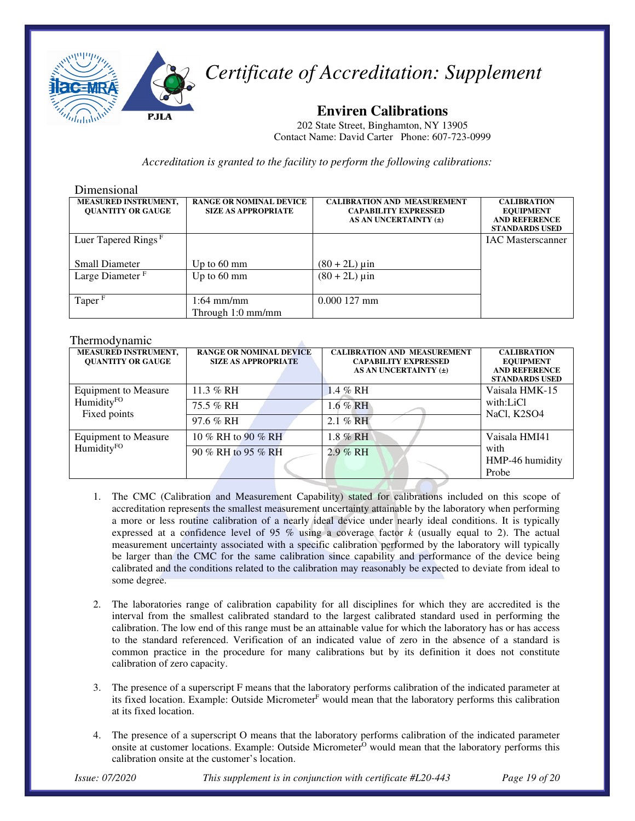

**Enviren Calibrations** 

202 State Street, Binghamton, NY 13905 Contact Name: David Carter Phone: 607-723-0999

*Accreditation is granted to the facility to perform the following calibrations:* 

#### Dimensional

| <b>MEASURED INSTRUMENT,</b>     | <b>RANGE OR NOMINAL DEVICE</b> | <b>CALIBRATION AND MEASUREMENT</b> | <b>CALIBRATION</b>       |
|---------------------------------|--------------------------------|------------------------------------|--------------------------|
| <b>OUANTITY OR GAUGE</b>        | <b>SIZE AS APPROPRIATE</b>     | <b>CAPABILITY EXPRESSED</b>        | <b>EQUIPMENT</b>         |
|                                 |                                | AS AN UNCERTAINTY (±)              | <b>AND REFERENCE</b>     |
|                                 |                                |                                    | <b>STANDARDS USED</b>    |
| Luer Tapered Rings <sup>F</sup> |                                |                                    | <b>IAC</b> Masterscanner |
|                                 |                                |                                    |                          |
| <b>Small Diameter</b>           | Up to $60 \text{ mm}$          | $(80 + 2L) \,\mu \text{in}$        |                          |
| Large Diameter <sup>F</sup>     | Up to $60 \text{ mm}$          | $(80 + 2L) \,\mu \text{in}$        |                          |
|                                 |                                |                                    |                          |
| Taper <sup>F</sup>              | $1:64$ mm/mm                   | $0.000127$ mm                      |                          |
|                                 |                                |                                    |                          |
|                                 | Through 1:0 mm/mm              |                                    |                          |

#### Thermodynamic

| <b>MEASURED INSTRUMENT,</b><br><b>OUANTITY OR GAUGE</b>               | <b>RANGE OR NOMINAL DEVICE</b><br><b>SIZE AS APPROPRIATE</b> | <b>CALIBRATION AND MEASUREMENT</b><br><b>CAPABILITY EXPRESSED</b><br>AS AN UNCERTAINTY (±) | <b>CALIBRATION</b><br><b>EQUIPMENT</b><br><b>AND REFERENCE</b><br><b>STANDARDS USED</b> |
|-----------------------------------------------------------------------|--------------------------------------------------------------|--------------------------------------------------------------------------------------------|-----------------------------------------------------------------------------------------|
| <b>Equipment to Measure</b><br>Humidity <sup>FO</sup><br>Fixed points | 11.3 % RH                                                    | 1.4 % RH                                                                                   | Vaisala HMK-15                                                                          |
|                                                                       | 75.5 % RH                                                    | $1.6\%$ RH                                                                                 | with:LiCl<br>NaCl, K2SO4                                                                |
|                                                                       | 97.6 % RH                                                    | $2.1\%$ RH                                                                                 |                                                                                         |
| <b>Equipment to Measure</b><br>HumidityFO                             | 10 % RH to 90 % RH                                           | 1.8 % RH                                                                                   | Vaisala HMI41                                                                           |
|                                                                       | 90 % RH to 95 % RH                                           | 2.9 % RH                                                                                   | with<br>HMP-46 humidity<br>Probe                                                        |

- 1. The CMC (Calibration and Measurement Capability) stated for calibrations included on this scope of accreditation represents the smallest measurement uncertainty attainable by the laboratory when performing a more or less routine calibration of a nearly ideal device under nearly ideal conditions. It is typically expressed at a confidence level of 95  $\%$  using a coverage factor  $k$  (usually equal to 2). The actual measurement uncertainty associated with a specific calibration performed by the laboratory will typically be larger than the CMC for the same calibration since capability and performance of the device being calibrated and the conditions related to the calibration may reasonably be expected to deviate from ideal to some degree.
- 2. The laboratories range of calibration capability for all disciplines for which they are accredited is the interval from the smallest calibrated standard to the largest calibrated standard used in performing the calibration. The low end of this range must be an attainable value for which the laboratory has or has access to the standard referenced. Verification of an indicated value of zero in the absence of a standard is common practice in the procedure for many calibrations but by its definition it does not constitute calibration of zero capacity.
- 3. The presence of a superscript F means that the laboratory performs calibration of the indicated parameter at its fixed location. Example: Outside Micrometer<sup>F</sup> would mean that the laboratory performs this calibration at its fixed location.
- 4. The presence of a superscript O means that the laboratory performs calibration of the indicated parameter onsite at customer locations. Example: Outside Micrometer<sup>O</sup> would mean that the laboratory performs this calibration onsite at the customer's location.

*Issue: 07/2020 This supplement is in conjunction with certificate #L20-443 Page 19 of 20*